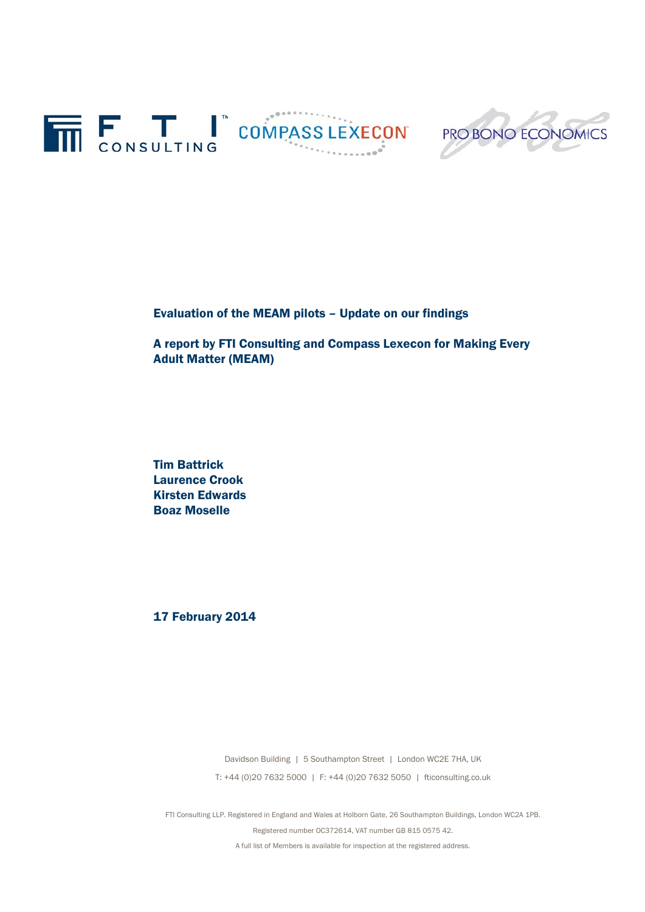



Evaluation of the MEAM pilots – Update on our findings

A report by FTI Consulting and Compass Lexecon for Making Every Adult Matter (MEAM)

Tim Battrick Laurence Crook Kirsten Edwards Boaz Moselle

17 February 2014

Davidson Building | 5 Southampton Street | London WC2E 7HA, UK T: +44 (0)20 7632 5000 | F: +44 (0)20 7632 5050 | fticonsulting.co.uk

FTI Consulting LLP. Registered in England and Wales at Holborn Gate, 26 Southampton Buildings, London WC2A 1PB. Registered number OC372614, VAT number GB 815 0575 42. A full list of Members is available for inspection at the registered address.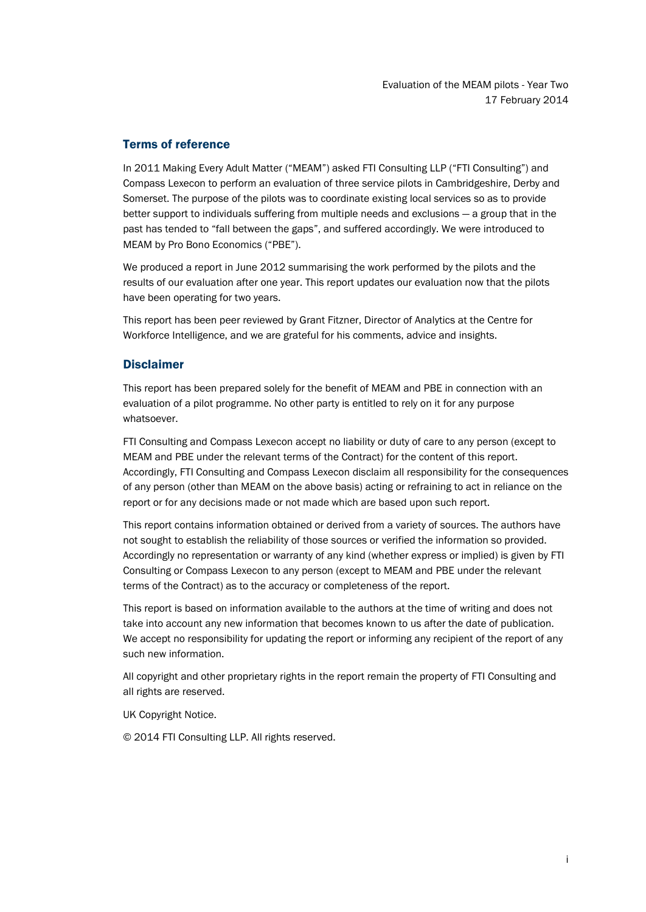# Terms of reference

In 2011 Making Every Adult Matter ("MEAM") asked FTI Consulting LLP ("FTI Consulting") and Compass Lexecon to perform an evaluation of three service pilots in Cambridgeshire, Derby and Somerset. The purpose of the pilots was to coordinate existing local services so as to provide better support to individuals suffering from multiple needs and exclusions — a group that in the past has tended to "fall between the gaps", and suffered accordingly. We were introduced to MEAM by Pro Bono Economics ("PBE").

We produced a report in June 2012 summarising the work performed by the pilots and the results of our evaluation after one year. This report updates our evaluation now that the pilots have been operating for two years.

This report has been peer reviewed by Grant Fitzner, Director of Analytics at the Centre for Workforce Intelligence, and we are grateful for his comments, advice and insights.

# **Disclaimer**

This report has been prepared solely for the benefit of MEAM and PBE in connection with an evaluation of a pilot programme. No other party is entitled to rely on it for any purpose whatsoever.

FTI Consulting and Compass Lexecon accept no liability or duty of care to any person (except to MEAM and PBE under the relevant terms of the Contract) for the content of this report. Accordingly, FTI Consulting and Compass Lexecon disclaim all responsibility for the consequences of any person (other than MEAM on the above basis) acting or refraining to act in reliance on the report or for any decisions made or not made which are based upon such report.

This report contains information obtained or derived from a variety of sources. The authors have not sought to establish the reliability of those sources or verified the information so provided. Accordingly no representation or warranty of any kind (whether express or implied) is given by FTI Consulting or Compass Lexecon to any person (except to MEAM and PBE under the relevant terms of the Contract) as to the accuracy or completeness of the report.

This report is based on information available to the authors at the time of writing and does not take into account any new information that becomes known to us after the date of publication. We accept no responsibility for updating the report or informing any recipient of the report of any such new information.

All copyright and other proprietary rights in the report remain the property of FTI Consulting and all rights are reserved.

UK Copyright Notice.

© 2014 FTI Consulting LLP. All rights reserved.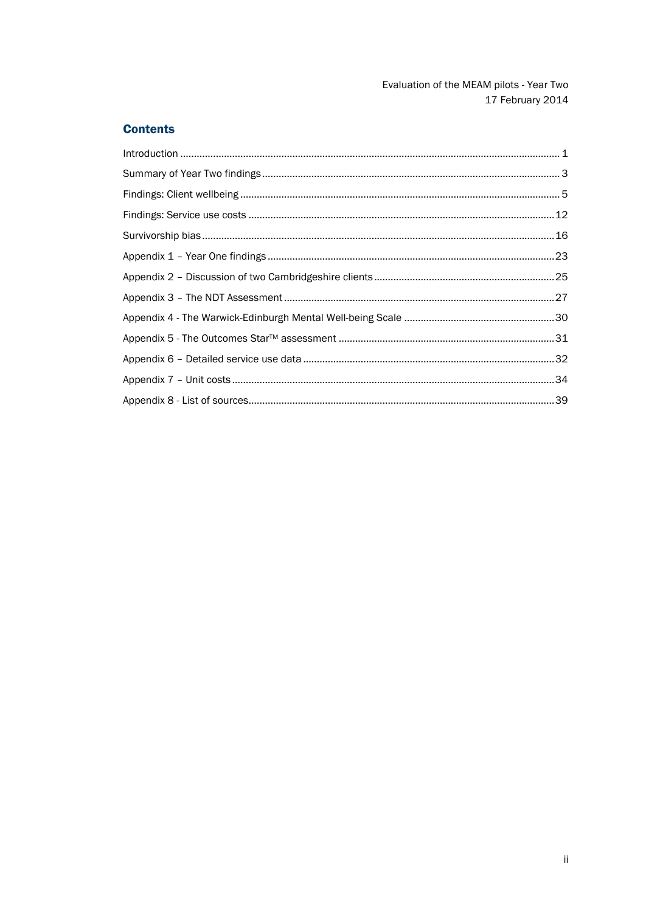# **Contents**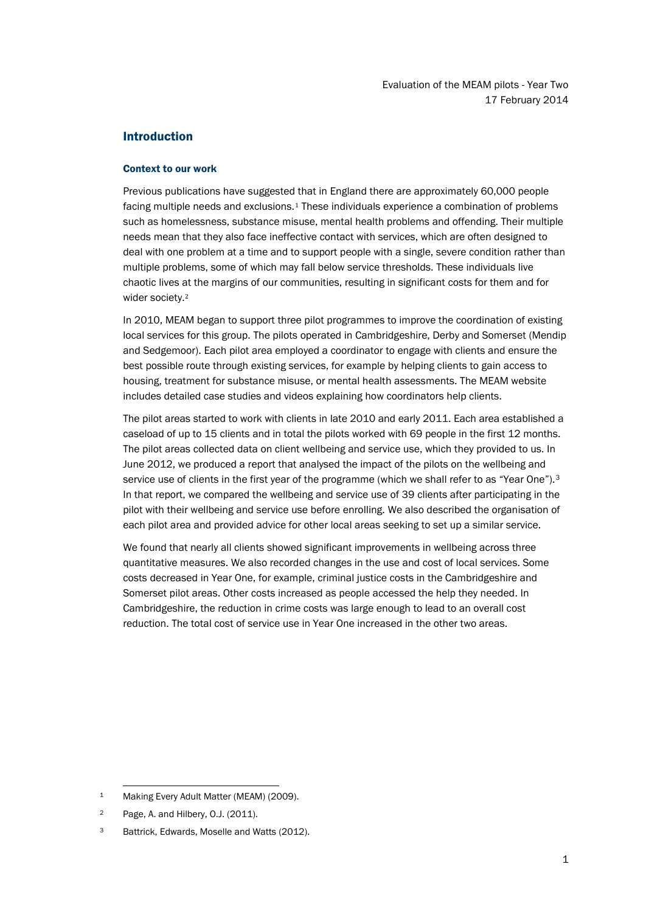# <span id="page-3-0"></span>Introduction

### Context to our work

Previous publications have suggeste[d t](#page-3-1)hat in England there are approximately 60,000 people facing multiple needs and exclusions.<sup>1</sup> These individuals experience a combination of problems such as homelessness, substance misuse, mental health problems and offending. Their multiple needs mean that they also face ineffective contact with services, which are often designed to deal with one problem at a time and to support people with a single, severe condition rather than multiple problems, some of which may fall below service thresholds. These individuals live chaotic lives [at](#page-3-2) the margins of our communities, resulting in significant costs for them and for wider society.<sup>2</sup>

In 2010, MEAM began to support three pilot programmes to improve the coordination of existing local services for this group. The pilots operated in Cambridgeshire, Derby and Somerset (Mendip and Sedgemoor). Each pilot area employed a coordinator to engage with clients and ensure the best possible route through existing services, for example by helping clients to gain access to housing, treatment for substance misuse, or mental health assessments. The MEAM website includes detailed case studies and videos explaining how coordinators help clients.

The pilot areas started to work with clients in late 2010 and early 2011. Each area established a caseload of up to 15 clients and in total the pilots worked with 69 people in the first 12 months. The pilot areas collected data on client wellbeing and service use, which they provided to us. In June 2012, we produced a report that analysed the impact of the pilots on the wellbeing and service use of clients in the first year of the programme (which we shall refer to as "Year One").<sup>[3](#page-3-3)</sup> In that report, we compared the wellbeing and service use of 39 clients after participating in the pilot with their wellbeing and service use before enrolling. We also described the organisation of each pilot area and provided advice for other local areas seeking to set up a similar service.

We found that nearly all clients showed significant improvements in wellbeing across three quantitative measures. We also recorded changes in the use and cost of local services. Some costs decreased in Year One, for example, criminal justice costs in the Cambridgeshire and Somerset pilot areas. Other costs increased as people accessed the help they needed. In Cambridgeshire, the reduction in crime costs was large enough to lead to an overall cost reduction. The total cost of service use in Year One increased in the other two areas.

<span id="page-3-1"></span><sup>1</sup> Making Every Adult Matter (MEAM) (2009).

<span id="page-3-2"></span><sup>2</sup> Page, A. and Hilbery, O.J. (2011).

<span id="page-3-3"></span>Battrick, Edwards, Moselle and Watts (2012).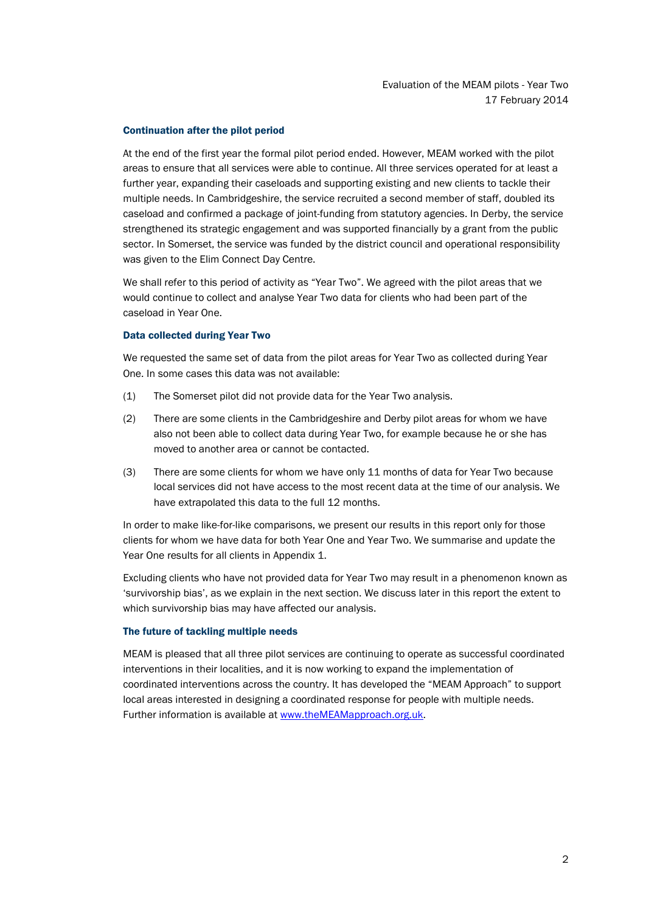## Continuation after the pilot period

At the end of the first year the formal pilot period ended. However, MEAM worked with the pilot areas to ensure that all services were able to continue. All three services operated for at least a further year, expanding their caseloads and supporting existing and new clients to tackle their multiple needs. In Cambridgeshire, the service recruited a second member of staff, doubled its caseload and confirmed a package of joint-funding from statutory agencies. In Derby, the service strengthened its strategic engagement and was supported financially by a grant from the public sector. In Somerset, the service was funded by the district council and operational responsibility was given to the Elim Connect Day Centre.

We shall refer to this period of activity as "Year Two". We agreed with the pilot areas that we would continue to collect and analyse Year Two data for clients who had been part of the caseload in Year One.

### Data collected during Year Two

We requested the same set of data from the pilot areas for Year Two as collected during Year One. In some cases this data was not available:

- (1) The Somerset pilot did not provide data for the Year Two analysis.
- (2) There are some clients in the Cambridgeshire and Derby pilot areas for whom we have also not been able to collect data during Year Two, for example because he or she has moved to another area or cannot be contacted.
- (3) There are some clients for whom we have only 11 months of data for Year Two because local services did not have access to the most recent data at the time of our analysis. We have extrapolated this data to the full 12 months.

In order to make like-for-like comparisons, we present our results in this report only for those clients for whom we have data for both Year One and Year Two. We summarise and update the Year One results for all clients in Appendix 1.

Excluding clients who have not provided data for Year Two may result in a phenomenon known as 'survivorship bias', as we explain in the next section. We discuss later in this report the extent to which survivorship bias may have affected our analysis.

## The future of tackling multiple needs

MEAM is pleased that all three pilot services are continuing to operate as successful coordinated interventions in their localities, and it is now working to expand the implementation of coordinated interventions across the country. It has developed the "MEAM Approach" to support local areas interested in designing a coordinated response for people with multiple needs. Further information is available at [www.theMEAMapproach.org.uk.](http://www.themeamapproach.org.uk/)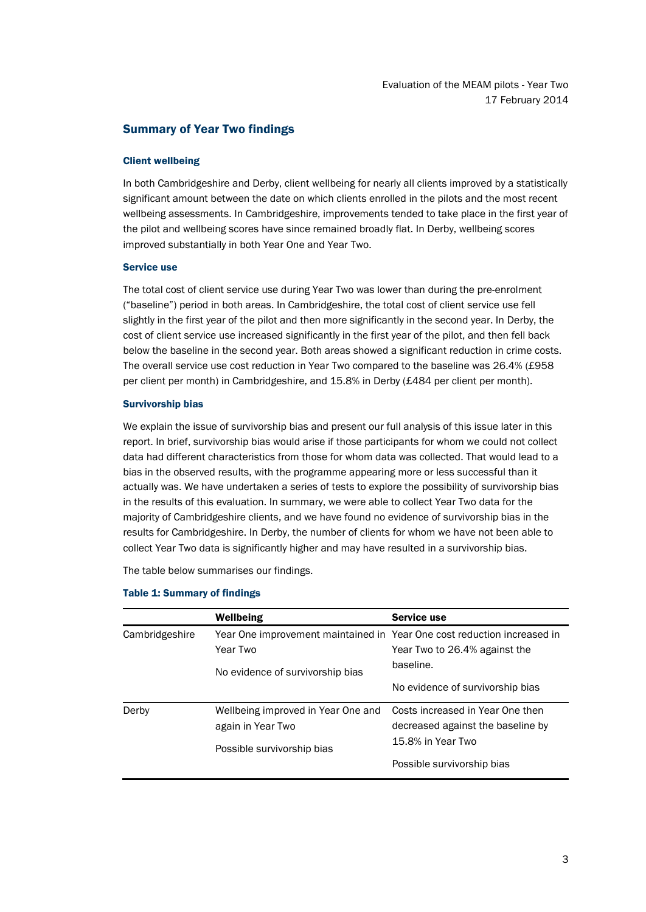# <span id="page-5-0"></span>Summary of Year Two findings

## Client wellbeing

In both Cambridgeshire and Derby, client wellbeing for nearly all clients improved by a statistically significant amount between the date on which clients enrolled in the pilots and the most recent wellbeing assessments. In Cambridgeshire, improvements tended to take place in the first year of the pilot and wellbeing scores have since remained broadly flat. In Derby, wellbeing scores improved substantially in both Year One and Year Two.

## Service use

The total cost of client service use during Year Two was lower than during the pre-enrolment ("baseline") period in both areas. In Cambridgeshire, the total cost of client service use fell slightly in the first year of the pilot and then more significantly in the second year. In Derby, the cost of client service use increased significantly in the first year of the pilot, and then fell back below the baseline in the second year. Both areas showed a significant reduction in crime costs. The overall service use cost reduction in Year Two compared to the baseline was 26.4% (£958 per client per month) in Cambridgeshire, and 15.8% in Derby (£484 per client per month).

### Survivorship bias

We explain the issue of survivorship bias and present our full analysis of this issue later in this report. In brief, survivorship bias would arise if those participants for whom we could not collect data had different characteristics from those for whom data was collected. That would lead to a bias in the observed results, with the programme appearing more or less successful than it actually was. We have undertaken a series of tests to explore the possibility of survivorship bias in the results of this evaluation. In summary, we were able to collect Year Two data for the majority of Cambridgeshire clients, and we have found no evidence of survivorship bias in the results for Cambridgeshire. In Derby, the number of clients for whom we have not been able to collect Year Two data is significantly higher and may have resulted in a survivorship bias.

The table below summarises our findings.

|                | Wellbeing                                                               | Service use                       |
|----------------|-------------------------------------------------------------------------|-----------------------------------|
| Cambridgeshire | Year One improvement maintained in Year One cost reduction increased in |                                   |
|                | Year Two                                                                | Year Two to 26.4% against the     |
|                | No evidence of survivorship bias                                        | baseline.                         |
|                |                                                                         | No evidence of survivorship bias  |
| Derby          | Wellbeing improved in Year One and                                      | Costs increased in Year One then  |
|                | again in Year Two                                                       | decreased against the baseline by |
|                | Possible survivorship bias                                              | 15.8% in Year Two                 |
|                |                                                                         | Possible survivorship bias        |

#### Table 1: Summary of findings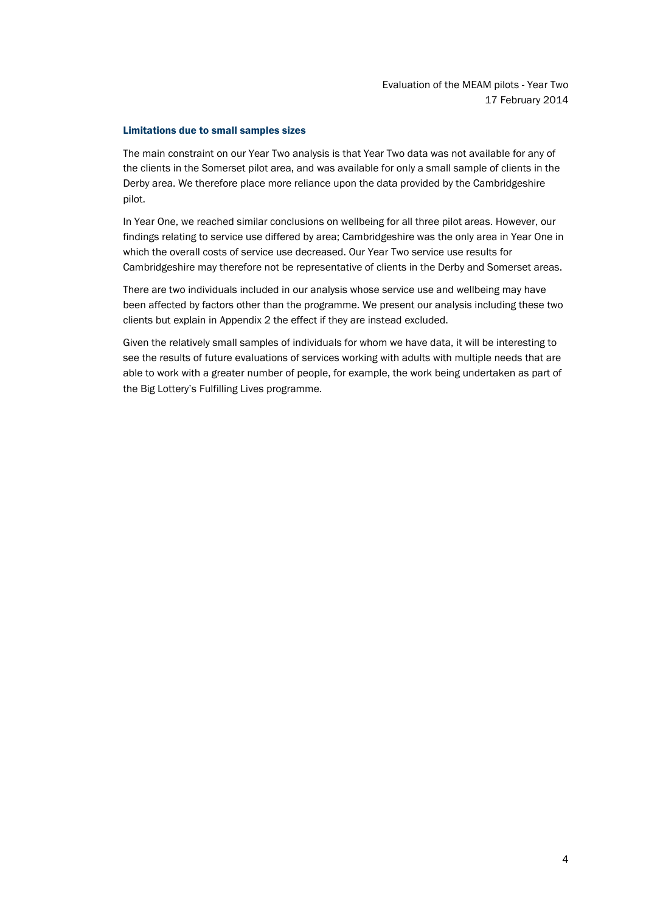### Limitations due to small samples sizes

The main constraint on our Year Two analysis is that Year Two data was not available for any of the clients in the Somerset pilot area, and was available for only a small sample of clients in the Derby area. We therefore place more reliance upon the data provided by the Cambridgeshire pilot.

In Year One, we reached similar conclusions on wellbeing for all three pilot areas. However, our findings relating to service use differed by area; Cambridgeshire was the only area in Year One in which the overall costs of service use decreased. Our Year Two service use results for Cambridgeshire may therefore not be representative of clients in the Derby and Somerset areas.

There are two individuals included in our analysis whose service use and wellbeing may have been affected by factors other than the programme. We present our analysis including these two clients but explain in Appendix 2 the effect if they are instead excluded.

Given the relatively small samples of individuals for whom we have data, it will be interesting to see the results of future evaluations of services working with adults with multiple needs that are able to work with a greater number of people, for example, the work being undertaken as part of the Big Lottery's Fulfilling Lives programme.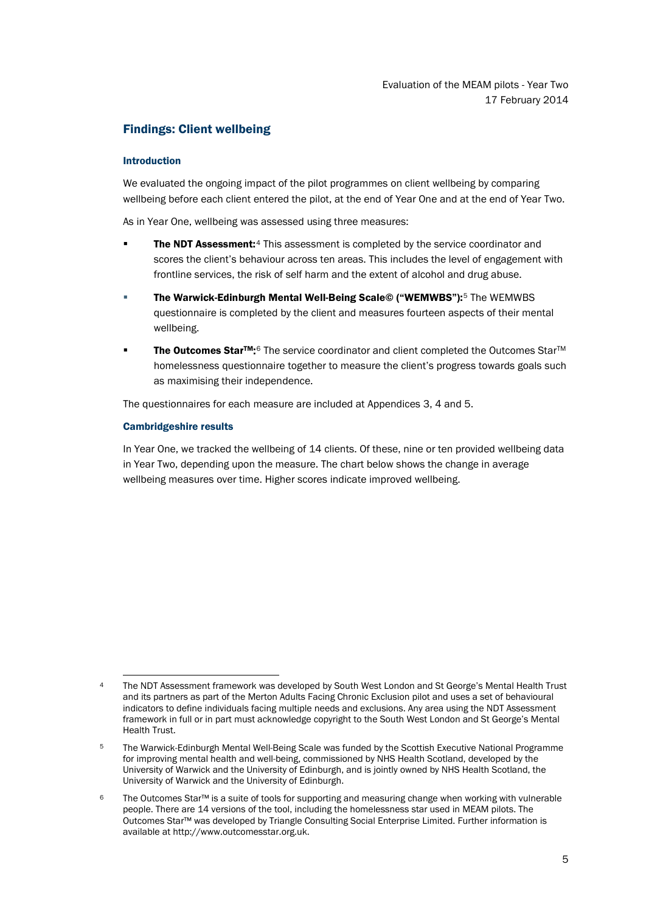# <span id="page-7-0"></span>Findings: Client wellbeing

## Introduction

We evaluated the ongoing impact of the pilot programmes on client wellbeing by comparing wellbeing before each client entered the pilot, at the end of Year One and at the end of Year Two.

As in Year One, wellbeing was assessed using three measures:

- The NDT Assessment:<sup>[4](#page-7-1)</sup> This assessment is completed by the service coordinator and scores the client's behaviour across ten areas. This includes the level of engagement with frontline services, the risk of self harm and the extent of alcohol and drug abuse.
- The Warwick-Edinburgh Mental Well-Being Scale© ("WEMWBS"):[5](#page-7-2) The WEMWBS questionnaire is completed by the client and measures fourteen aspects of their mental wellbeing.
- The Outcomes Star<sup>TM</sup>:<sup>[6](#page-7-3)</sup> The service coordinator and client completed the Outcomes Star<sup>™</sup> homelessness questionnaire together to measure the client's progress towards goals such as maximising their independence.

The questionnaires for each measure are included at Appendices 3, 4 and 5.

## Cambridgeshire results

In Year One, we tracked the wellbeing of 14 clients. Of these, nine or ten provided wellbeing data in Year Two, depending upon the measure. The chart below shows the change in average wellbeing measures over time. Higher scores indicate improved wellbeing.

<span id="page-7-1"></span> <sup>4</sup> The NDT Assessment framework was developed by South West London and St George's Mental Health Trust and its partners as part of the Merton Adults Facing Chronic Exclusion pilot and uses a set of behavioural indicators to define individuals facing multiple needs and exclusions. Any area using the NDT Assessment framework in full or in part must acknowledge copyright to the South West London and St George's Mental Health Trust.

<span id="page-7-2"></span><sup>5</sup> The Warwick-Edinburgh Mental Well-Being Scale was funded by the Scottish Executive National Programme for improving mental health and well-being, commissioned by NHS Health Scotland, developed by the University of Warwick and the University of Edinburgh, and is jointly owned by NHS Health Scotland, the University of Warwick and the University of Edinburgh.

<span id="page-7-3"></span><sup>6</sup> The Outcomes Star™ is a suite of tools for supporting and measuring change when working with vulnerable people. There are 14 versions of the tool, including the homelessness star used in MEAM pilots. The Outcomes Star™ was developed by Triangle Consulting Social Enterprise Limited. Further information is available at http://www.outcomesstar.org.uk.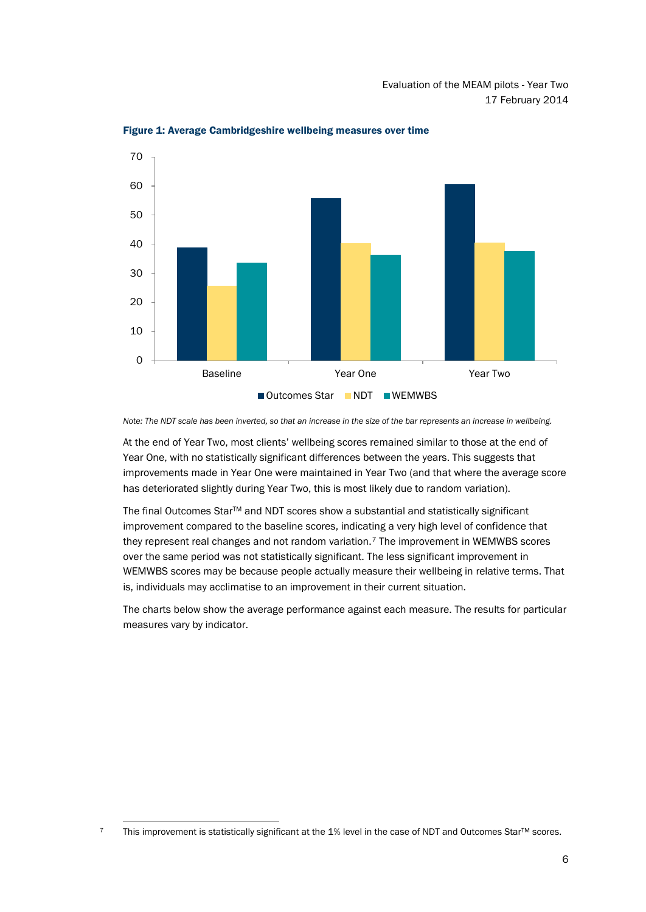

Figure 1: Average Cambridgeshire wellbeing measures over time

*Note: The NDT scale has been inverted, so that an increase in the size of the bar represents an increase in wellbeing.*

At the end of Year Two, most clients' wellbeing scores remained similar to those at the end of Year One, with no statistically significant differences between the years. This suggests that improvements made in Year One were maintained in Year Two (and that where the average score has deteriorated slightly during Year Two, this is most likely due to random variation).

The final Outcomes Star™ and NDT scores show a substantial and statistically significant improvement compared to the baseline scores, indicating a very high level of confidence that they represent real changes and not random variation.<sup>[7](#page-8-0)</sup> The improvement in WEMWBS scores over the same period was not statistically significant. The less significant improvement in WEMWBS scores may be because people actually measure their wellbeing in relative terms. That is, individuals may acclimatise to an improvement in their current situation.

The charts below show the average performance against each measure. The results for particular measures vary by indicator.

<span id="page-8-0"></span>This improvement is statistically significant at the 1% level in the case of NDT and Outcomes Star™ scores.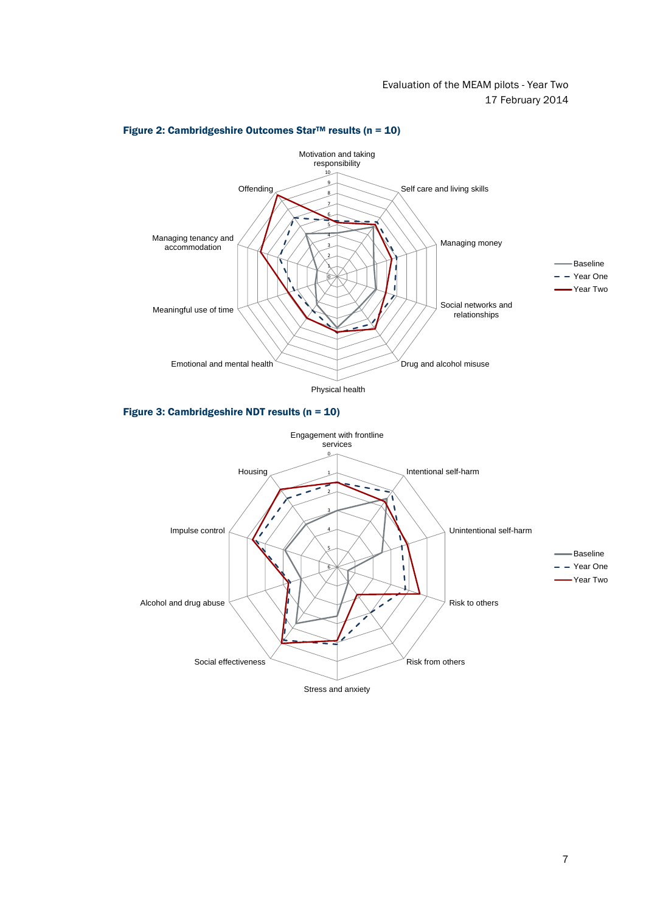

## Figure 2: Cambridgeshire Outcomes Star<sup>TM</sup> results ( $n = 10$ )

Figure 3: Cambridgeshire NDT results (n = 10)

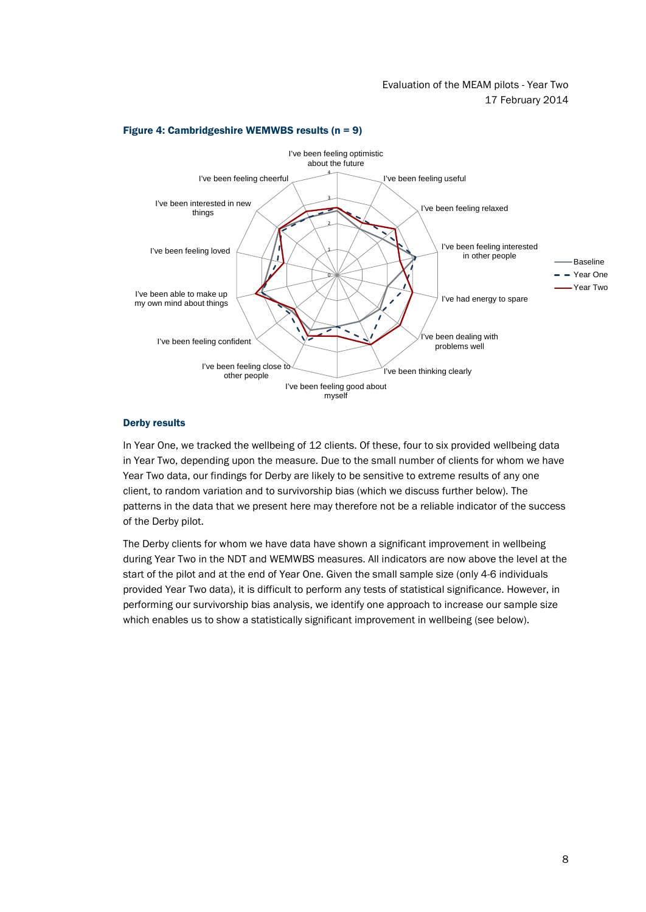

## Figure 4: Cambridgeshire WEMWBS results (n = 9)

## Derby results

In Year One, we tracked the wellbeing of 12 clients. Of these, four to six provided wellbeing data in Year Two, depending upon the measure. Due to the small number of clients for whom we have Year Two data, our findings for Derby are likely to be sensitive to extreme results of any one client, to random variation and to survivorship bias (which we discuss further below). The patterns in the data that we present here may therefore not be a reliable indicator of the success of the Derby pilot.

The Derby clients for whom we have data have shown a significant improvement in wellbeing during Year Two in the NDT and WEMWBS measures. All indicators are now above the level at the start of the pilot and at the end of Year One. Given the small sample size (only 4-6 individuals provided Year Two data), it is difficult to perform any tests of statistical significance. However, in performing our survivorship bias analysis, we identify one approach to increase our sample size which enables us to show a statistically significant improvement in wellbeing (see below).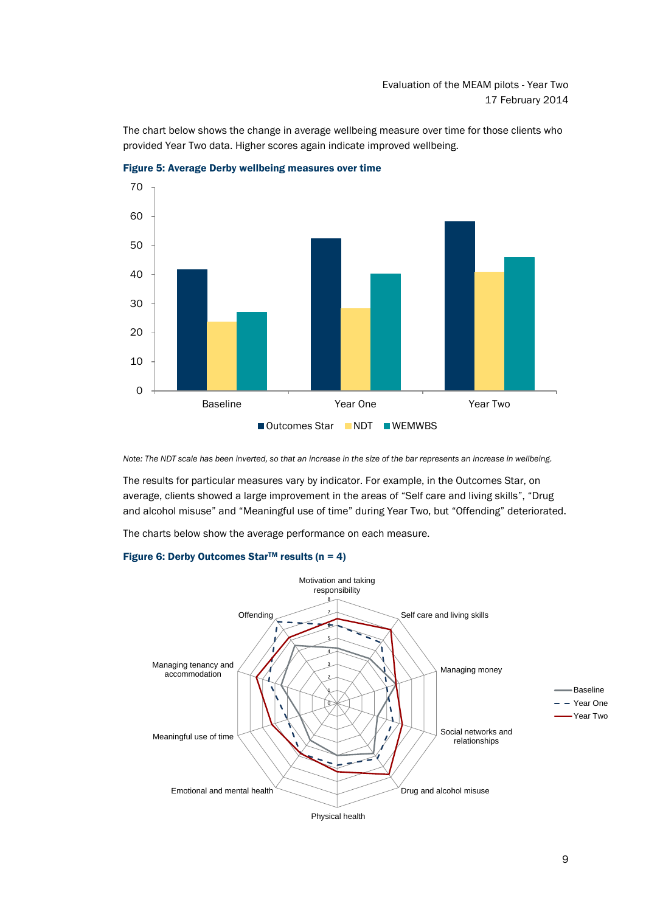The chart below shows the change in average wellbeing measure over time for those clients who provided Year Two data. Higher scores again indicate improved wellbeing.



Figure 5: Average Derby wellbeing measures over time

*Note: The NDT scale has been inverted, so that an increase in the size of the bar represents an increase in wellbeing.*

The results for particular measures vary by indicator. For example, in the Outcomes Star, on average, clients showed a large improvement in the areas of "Self care and living skills", "Drug and alcohol misuse" and "Meaningful use of time" during Year Two, but "Offending" deteriorated.

The charts below show the average performance on each measure.

## Figure 6: Derby Outcomes Star<sup>TM</sup> results ( $n = 4$ )

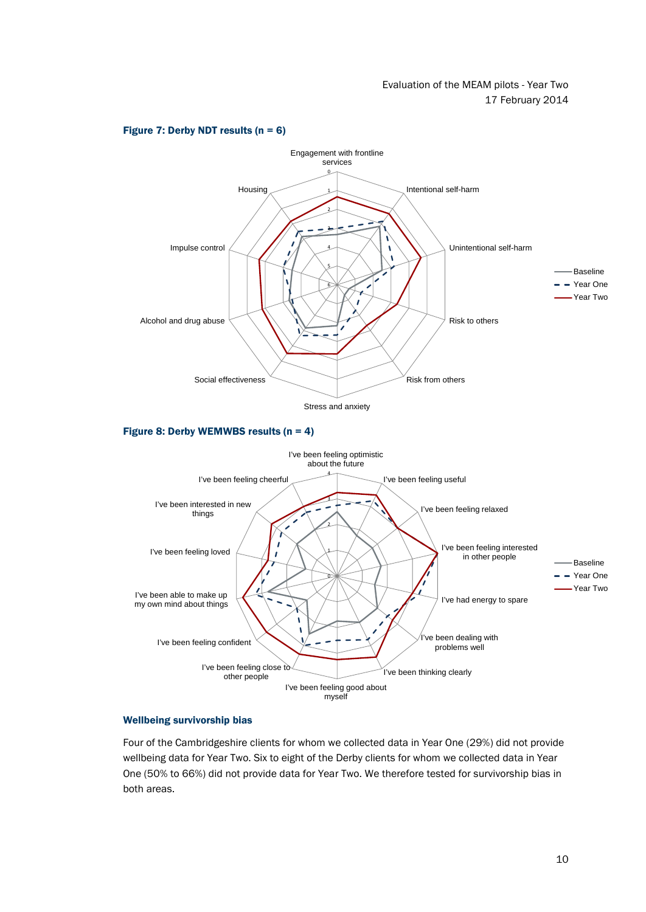

#### Figure 7: Derby NDT results  $(n = 6)$

Figure 8: Derby WEMWBS results (n = 4)



### Wellbeing survivorship bias

Four of the Cambridgeshire clients for whom we collected data in Year One (29%) did not provide wellbeing data for Year Two. Six to eight of the Derby clients for whom we collected data in Year One (50% to 66%) did not provide data for Year Two. We therefore tested for survivorship bias in both areas.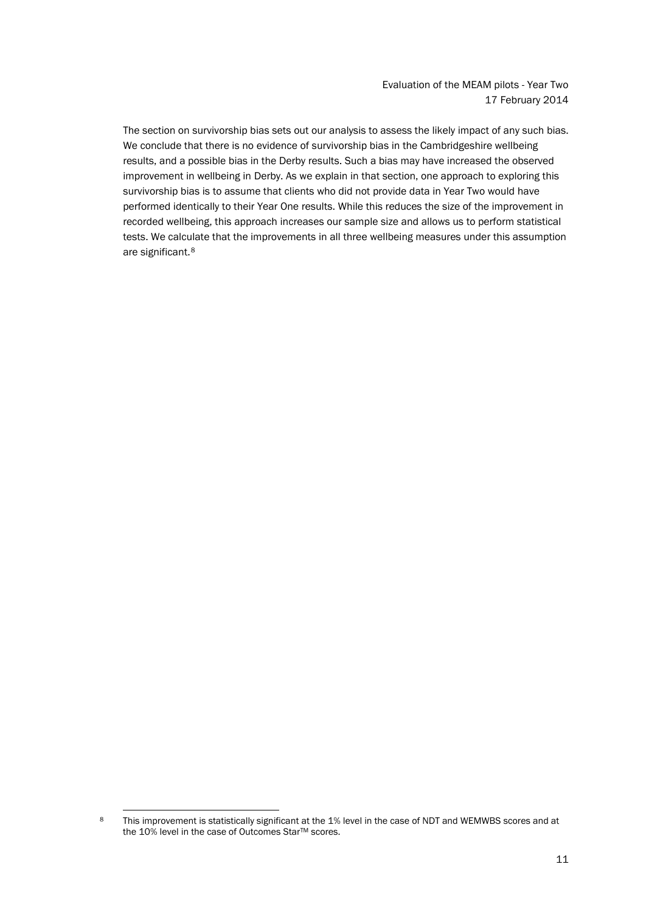The section on survivorship bias sets out our analysis to assess the likely impact of any such bias. We conclude that there is no evidence of survivorship bias in the Cambridgeshire wellbeing results, and a possible bias in the Derby results. Such a bias may have increased the observed improvement in wellbeing in Derby. As we explain in that section, one approach to exploring this survivorship bias is to assume that clients who did not provide data in Year Two would have performed identically to their Year One results. While this reduces the size of the improvement in recorded wellbeing, this approach increases our sample size and allows us to perform statistical tests. We calculate that the improvements in all three wellbeing measures under this assumption are significant.[8](#page-13-0)

<span id="page-13-0"></span><sup>8</sup> This improvement is statistically significant at the 1% level in the case of NDT and WEMWBS scores and at the 10% level in the case of Outcomes Star™ scores.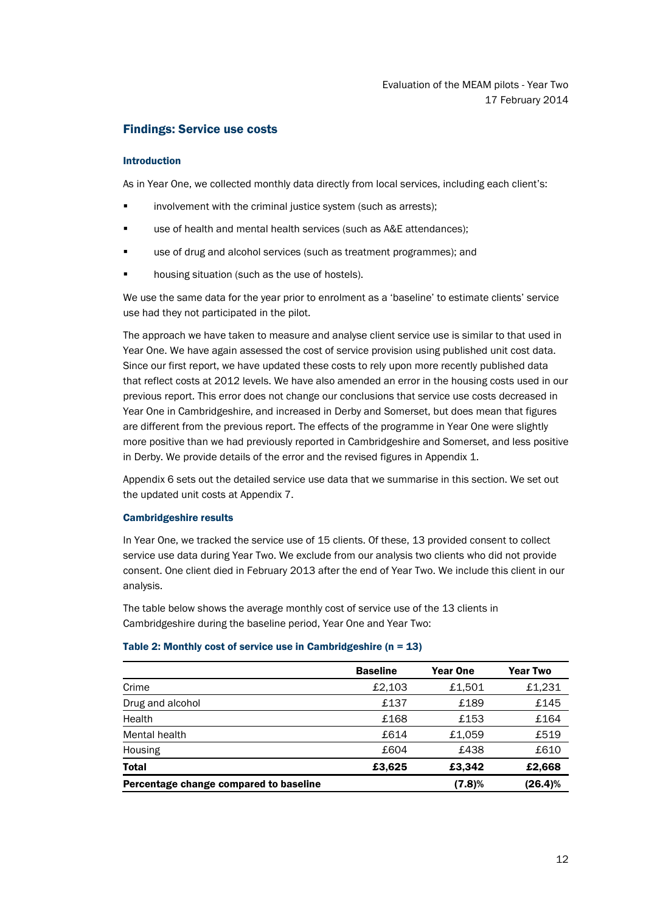# <span id="page-14-0"></span>Findings: Service use costs

## Introduction

As in Year One, we collected monthly data directly from local services, including each client's:

- involvement with the criminal justice system (such as arrests);
- use of health and mental health services (such as A&E attendances);
- use of drug and alcohol services (such as treatment programmes); and
- **•** housing situation (such as the use of hostels).

We use the same data for the year prior to enrolment as a 'baseline' to estimate clients' service use had they not participated in the pilot.

The approach we have taken to measure and analyse client service use is similar to that used in Year One. We have again assessed the cost of service provision using published unit cost data. Since our first report, we have updated these costs to rely upon more recently published data that reflect costs at 2012 levels. We have also amended an error in the housing costs used in our previous report. This error does not change our conclusions that service use costs decreased in Year One in Cambridgeshire, and increased in Derby and Somerset, but does mean that figures are different from the previous report. The effects of the programme in Year One were slightly more positive than we had previously reported in Cambridgeshire and Somerset, and less positive in Derby. We provide details of the error and the revised figures in Appendix 1.

Appendix 6 sets out the detailed service use data that we summarise in this section. We set out the updated unit costs at Appendix 7.

### Cambridgeshire results

In Year One, we tracked the service use of 15 clients. Of these, 13 provided consent to collect service use data during Year Two. We exclude from our analysis two clients who did not provide consent. One client died in February 2013 after the end of Year Two. We include this client in our analysis.

The table below shows the average monthly cost of service use of the 13 clients in Cambridgeshire during the baseline period, Year One and Year Two:

## Table 2: Monthly cost of service use in Cambridgeshire ( $n = 13$ )

|                                        | <b>Baseline</b> | <b>Year One</b> | <b>Year Two</b> |
|----------------------------------------|-----------------|-----------------|-----------------|
| Crime                                  | £2.103          | £1.501          | £1,231          |
| Drug and alcohol                       | £137            | £189            | £145            |
| Health                                 | £168            | £153            | £164            |
| Mental health                          | £614            | £1,059          | £519            |
| Housing                                | £604            | £438            | £610            |
| <b>Total</b>                           | £3,625          | £3.342          | £2,668          |
| Percentage change compared to baseline |                 | (7.8)%          | (26.4)%         |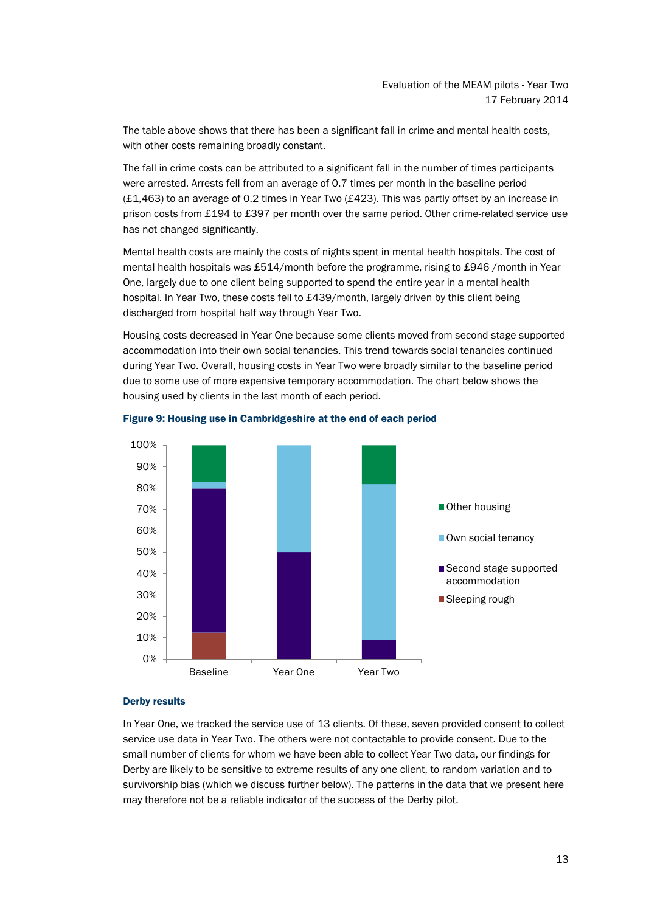The table above shows that there has been a significant fall in crime and mental health costs, with other costs remaining broadly constant.

The fall in crime costs can be attributed to a significant fall in the number of times participants were arrested. Arrests fell from an average of 0.7 times per month in the baseline period (£1,463) to an average of 0.2 times in Year Two (£423). This was partly offset by an increase in prison costs from £194 to £397 per month over the same period. Other crime-related service use has not changed significantly.

Mental health costs are mainly the costs of nights spent in mental health hospitals. The cost of mental health hospitals was £514/month before the programme, rising to £946 /month in Year One, largely due to one client being supported to spend the entire year in a mental health hospital. In Year Two, these costs fell to £439/month, largely driven by this client being discharged from hospital half way through Year Two.

Housing costs decreased in Year One because some clients moved from second stage supported accommodation into their own social tenancies. This trend towards social tenancies continued during Year Two. Overall, housing costs in Year Two were broadly similar to the baseline period due to some use of more expensive temporary accommodation. The chart below shows the housing used by clients in the last month of each period.



## Figure 9: Housing use in Cambridgeshire at the end of each period

#### Derby results

In Year One, we tracked the service use of 13 clients. Of these, seven provided consent to collect service use data in Year Two. The others were not contactable to provide consent. Due to the small number of clients for whom we have been able to collect Year Two data, our findings for Derby are likely to be sensitive to extreme results of any one client, to random variation and to survivorship bias (which we discuss further below). The patterns in the data that we present here may therefore not be a reliable indicator of the success of the Derby pilot.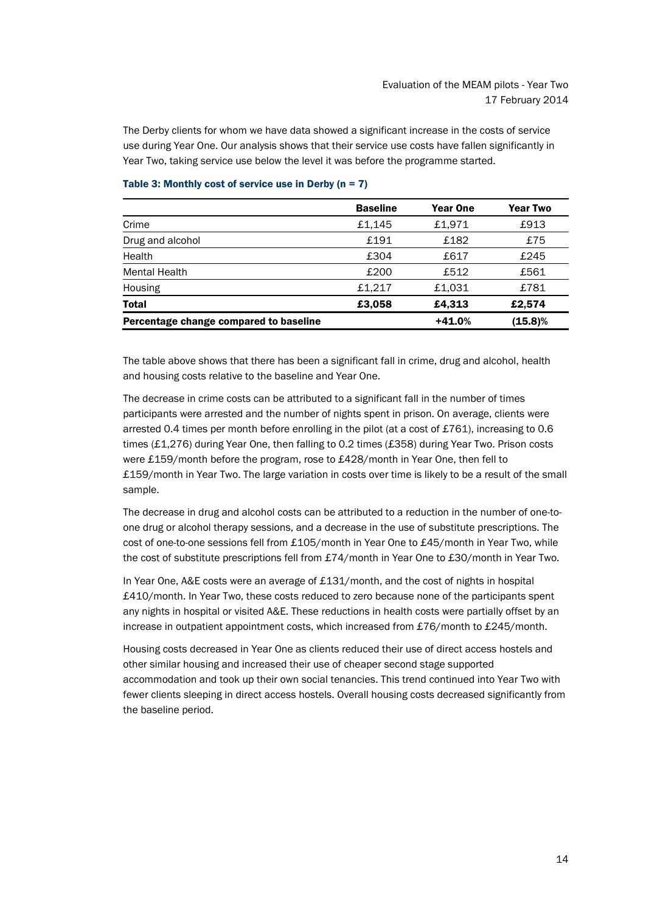The Derby clients for whom we have data showed a significant increase in the costs of service use during Year One. Our analysis shows that their service use costs have fallen significantly in Year Two, taking service use below the level it was before the programme started.

|                                        | <b>Baseline</b> | <b>Year One</b> | <b>Year Two</b> |
|----------------------------------------|-----------------|-----------------|-----------------|
| Crime                                  | £1.145          | £1.971          | £913            |
| Drug and alcohol                       | £191            | £182            | £75             |
| Health                                 | £304            | £617            | £245            |
| Mental Health                          | £200            | £512            | £561            |
| Housing                                | £1,217          | £1.031          | £781            |
| <b>Total</b>                           | £3,058          | £4,313          | £2.574          |
| Percentage change compared to baseline |                 | $+41.0%$        | $(15.8)\%$      |

## Table 3: Monthly cost of service use in Derby ( $n = 7$ )

The table above shows that there has been a significant fall in crime, drug and alcohol, health and housing costs relative to the baseline and Year One.

The decrease in crime costs can be attributed to a significant fall in the number of times participants were arrested and the number of nights spent in prison. On average, clients were arrested 0.4 times per month before enrolling in the pilot (at a cost of £761), increasing to 0.6 times (£1,276) during Year One, then falling to 0.2 times (£358) during Year Two. Prison costs were £159/month before the program, rose to £428/month in Year One, then fell to £159/month in Year Two. The large variation in costs over time is likely to be a result of the small sample.

The decrease in drug and alcohol costs can be attributed to a reduction in the number of one-toone drug or alcohol therapy sessions, and a decrease in the use of substitute prescriptions. The cost of one-to-one sessions fell from £105/month in Year One to £45/month in Year Two, while the cost of substitute prescriptions fell from £74/month in Year One to £30/month in Year Two.

In Year One, A&E costs were an average of £131/month, and the cost of nights in hospital £410/month. In Year Two, these costs reduced to zero because none of the participants spent any nights in hospital or visited A&E. These reductions in health costs were partially offset by an increase in outpatient appointment costs, which increased from £76/month to £245/month.

Housing costs decreased in Year One as clients reduced their use of direct access hostels and other similar housing and increased their use of cheaper second stage supported accommodation and took up their own social tenancies. This trend continued into Year Two with fewer clients sleeping in direct access hostels. Overall housing costs decreased significantly from the baseline period.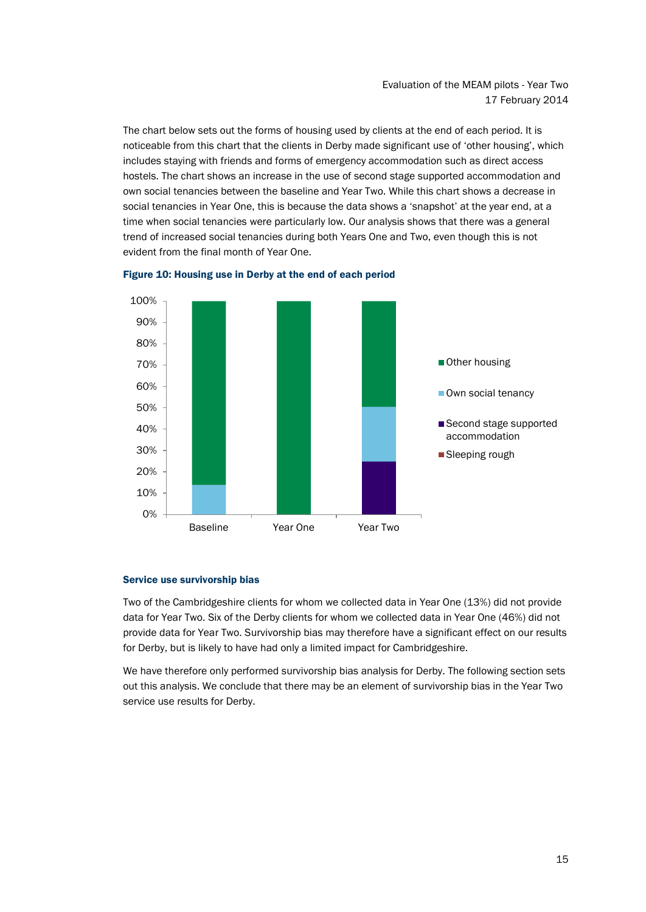The chart below sets out the forms of housing used by clients at the end of each period. It is noticeable from this chart that the clients in Derby made significant use of 'other housing', which includes staying with friends and forms of emergency accommodation such as direct access hostels. The chart shows an increase in the use of second stage supported accommodation and own social tenancies between the baseline and Year Two. While this chart shows a decrease in social tenancies in Year One, this is because the data shows a 'snapshot' at the year end, at a time when social tenancies were particularly low. Our analysis shows that there was a general trend of increased social tenancies during both Years One and Two, even though this is not evident from the final month of Year One.





#### Service use survivorship bias

Two of the Cambridgeshire clients for whom we collected data in Year One (13%) did not provide data for Year Two. Six of the Derby clients for whom we collected data in Year One (46%) did not provide data for Year Two. Survivorship bias may therefore have a significant effect on our results for Derby, but is likely to have had only a limited impact for Cambridgeshire.

We have therefore only performed survivorship bias analysis for Derby. The following section sets out this analysis. We conclude that there may be an element of survivorship bias in the Year Two service use results for Derby.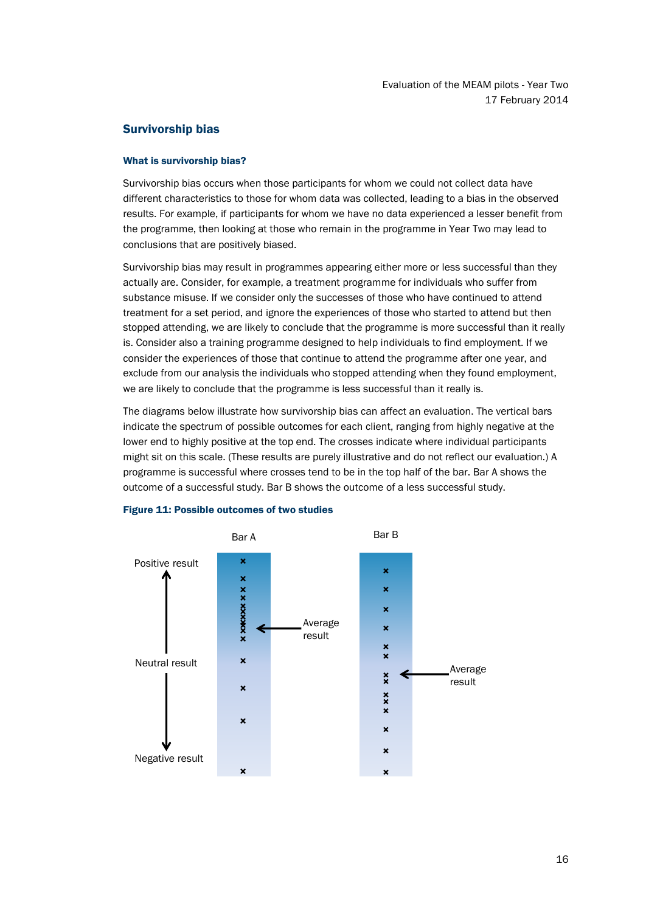# <span id="page-18-0"></span>Survivorship bias

## What is survivorship bias?

Survivorship bias occurs when those participants for whom we could not collect data have different characteristics to those for whom data was collected, leading to a bias in the observed results. For example, if participants for whom we have no data experienced a lesser benefit from the programme, then looking at those who remain in the programme in Year Two may lead to conclusions that are positively biased.

Survivorship bias may result in programmes appearing either more or less successful than they actually are. Consider, for example, a treatment programme for individuals who suffer from substance misuse. If we consider only the successes of those who have continued to attend treatment for a set period, and ignore the experiences of those who started to attend but then stopped attending, we are likely to conclude that the programme is more successful than it really is. Consider also a training programme designed to help individuals to find employment. If we consider the experiences of those that continue to attend the programme after one year, and exclude from our analysis the individuals who stopped attending when they found employment, we are likely to conclude that the programme is less successful than it really is.

The diagrams below illustrate how survivorship bias can affect an evaluation. The vertical bars indicate the spectrum of possible outcomes for each client, ranging from highly negative at the lower end to highly positive at the top end. The crosses indicate where individual participants might sit on this scale. (These results are purely illustrative and do not reflect our evaluation.) A programme is successful where crosses tend to be in the top half of the bar. Bar A shows the outcome of a successful study. Bar B shows the outcome of a less successful study.



#### Figure 11: Possible outcomes of two studies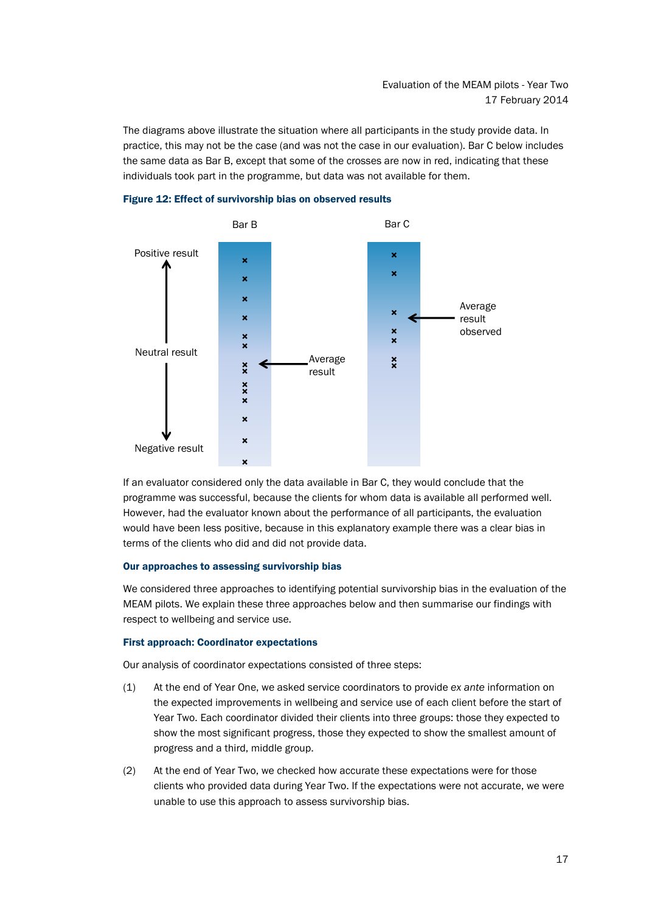The diagrams above illustrate the situation where all participants in the study provide data. In practice, this may not be the case (and was not the case in our evaluation). Bar C below includes the same data as Bar B, except that some of the crosses are now in red, indicating that these individuals took part in the programme, but data was not available for them.





If an evaluator considered only the data available in Bar C, they would conclude that the programme was successful, because the clients for whom data is available all performed well. However, had the evaluator known about the performance of all participants, the evaluation would have been less positive, because in this explanatory example there was a clear bias in terms of the clients who did and did not provide data.

#### Our approaches to assessing survivorship bias

We considered three approaches to identifying potential survivorship bias in the evaluation of the MEAM pilots. We explain these three approaches below and then summarise our findings with respect to wellbeing and service use.

## First approach: Coordinator expectations

Our analysis of coordinator expectations consisted of three steps:

- (1) At the end of Year One, we asked service coordinators to provide *ex ante* information on the expected improvements in wellbeing and service use of each client before the start of Year Two. Each coordinator divided their clients into three groups: those they expected to show the most significant progress, those they expected to show the smallest amount of progress and a third, middle group.
- (2) At the end of Year Two, we checked how accurate these expectations were for those clients who provided data during Year Two. If the expectations were not accurate, we were unable to use this approach to assess survivorship bias.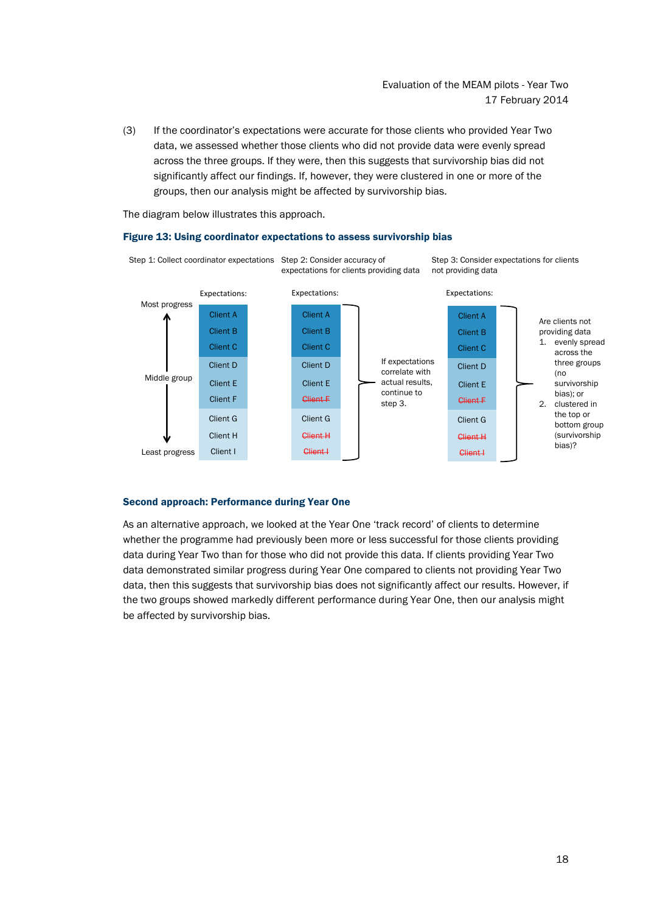(3) If the coordinator's expectations were accurate for those clients who provided Year Two data, we assessed whether those clients who did not provide data were evenly spread across the three groups. If they were, then this suggests that survivorship bias did not significantly affect our findings. If, however, they were clustered in one or more of the groups, then our analysis might be affected by survivorship bias.

The diagram below illustrates this approach.

### Figure 13: Using coordinator expectations to assess survivorship bias



#### Second approach: Performance during Year One

As an alternative approach, we looked at the Year One 'track record' of clients to determine whether the programme had previously been more or less successful for those clients providing data during Year Two than for those who did not provide this data. If clients providing Year Two data demonstrated similar progress during Year One compared to clients not providing Year Two data, then this suggests that survivorship bias does not significantly affect our results. However, if the two groups showed markedly different performance during Year One, then our analysis might be affected by survivorship bias.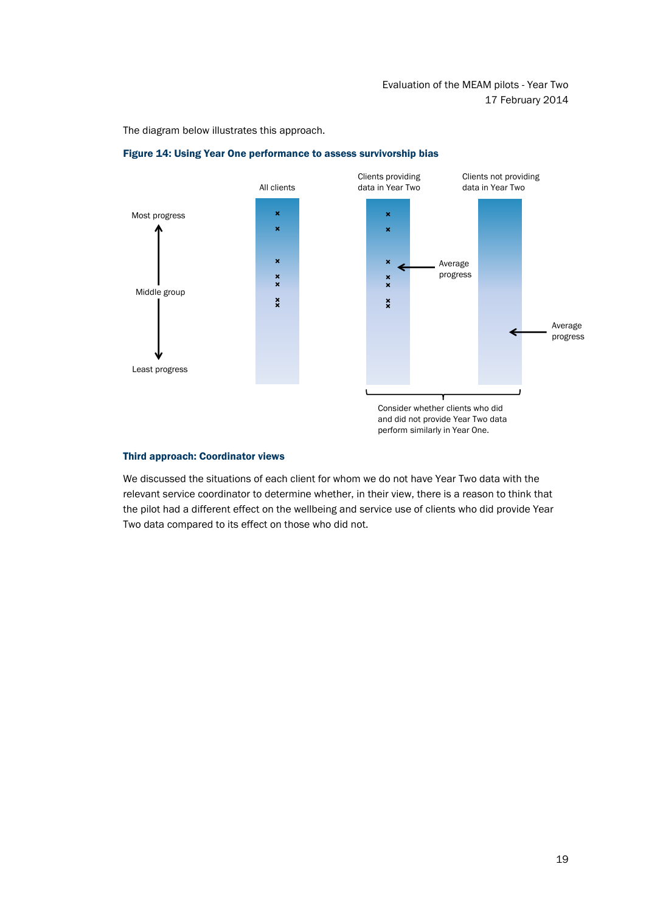The diagram below illustrates this approach.





#### Third approach: Coordinator views

We discussed the situations of each client for whom we do not have Year Two data with the relevant service coordinator to determine whether, in their view, there is a reason to think that the pilot had a different effect on the wellbeing and service use of clients who did provide Year Two data compared to its effect on those who did not.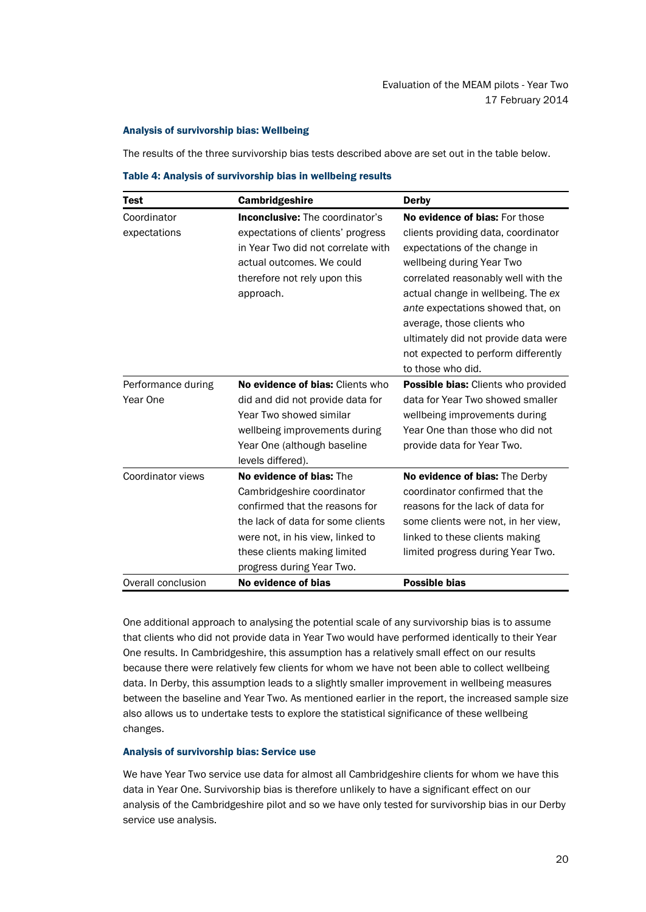## Analysis of survivorship bias: Wellbeing

The results of the three survivorship bias tests described above are set out in the table below.

Table 4: Analysis of survivorship bias in wellbeing results

| Test               | Cambridgeshire                         | <b>Derby</b>                         |
|--------------------|----------------------------------------|--------------------------------------|
| Coordinator        | <b>Inconclusive:</b> The coordinator's | No evidence of bias: For those       |
| expectations       | expectations of clients' progress      | clients providing data, coordinator  |
|                    | in Year Two did not correlate with     | expectations of the change in        |
|                    | actual outcomes. We could              | wellbeing during Year Two            |
|                    | therefore not rely upon this           | correlated reasonably well with the  |
|                    | approach.                              | actual change in wellbeing. The ex   |
|                    |                                        | ante expectations showed that, on    |
|                    |                                        | average, those clients who           |
|                    |                                        | ultimately did not provide data were |
|                    |                                        | not expected to perform differently  |
|                    |                                        | to those who did.                    |
| Performance during | No evidence of bias: Clients who       | Possible bias: Clients who provided  |
| Year One           | did and did not provide data for       | data for Year Two showed smaller     |
|                    | Year Two showed similar                | wellbeing improvements during        |
|                    | wellbeing improvements during          | Year One than those who did not      |
|                    | Year One (although baseline            | provide data for Year Two.           |
|                    | levels differed).                      |                                      |
| Coordinator views  | No evidence of bias: The               | No evidence of bias: The Derby       |
|                    | Cambridgeshire coordinator             | coordinator confirmed that the       |
|                    | confirmed that the reasons for         | reasons for the lack of data for     |
|                    | the lack of data for some clients      | some clients were not, in her view,  |
|                    | were not, in his view, linked to       | linked to these clients making       |
|                    | these clients making limited           | limited progress during Year Two.    |
|                    | progress during Year Two.              |                                      |
| Overall conclusion | No evidence of bias                    | <b>Possible bias</b>                 |

One additional approach to analysing the potential scale of any survivorship bias is to assume that clients who did not provide data in Year Two would have performed identically to their Year One results. In Cambridgeshire, this assumption has a relatively small effect on our results because there were relatively few clients for whom we have not been able to collect wellbeing data. In Derby, this assumption leads to a slightly smaller improvement in wellbeing measures between the baseline and Year Two. As mentioned earlier in the report, the increased sample size also allows us to undertake tests to explore the statistical significance of these wellbeing changes.

## Analysis of survivorship bias: Service use

We have Year Two service use data for almost all Cambridgeshire clients for whom we have this data in Year One. Survivorship bias is therefore unlikely to have a significant effect on our analysis of the Cambridgeshire pilot and so we have only tested for survivorship bias in our Derby service use analysis.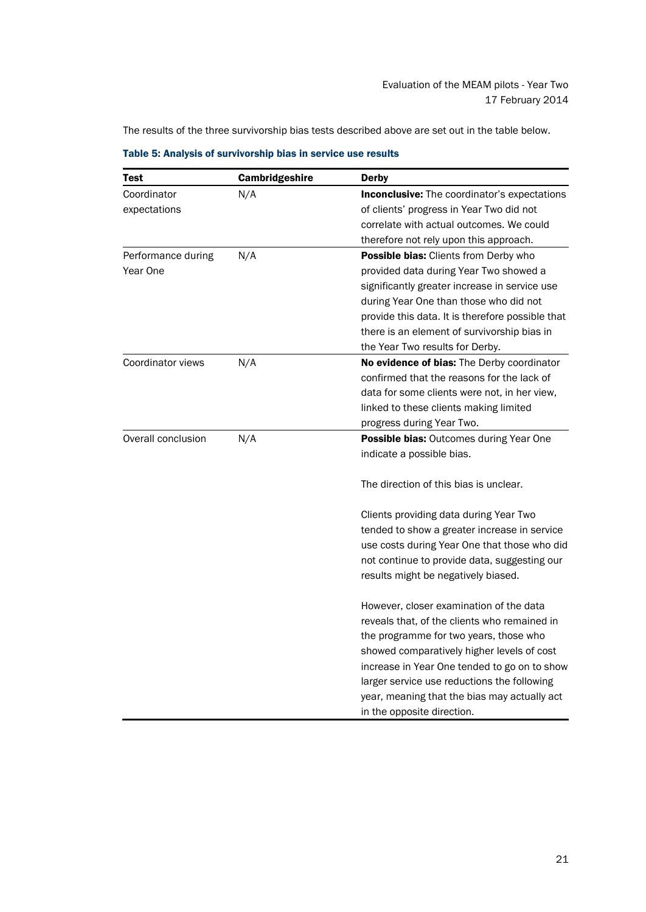The results of the three survivorship bias tests described above are set out in the table below.

| <b>Test</b>        | Cambridgeshire | <b>Derby</b>                                        |
|--------------------|----------------|-----------------------------------------------------|
| Coordinator        | N/A            | <b>Inconclusive:</b> The coordinator's expectations |
| expectations       |                | of clients' progress in Year Two did not            |
|                    |                | correlate with actual outcomes. We could            |
|                    |                | therefore not rely upon this approach.              |
| Performance during | N/A            | Possible bias: Clients from Derby who               |
| Year One           |                | provided data during Year Two showed a              |
|                    |                | significantly greater increase in service use       |
|                    |                | during Year One than those who did not              |
|                    |                | provide this data. It is therefore possible that    |
|                    |                | there is an element of survivorship bias in         |
|                    |                | the Year Two results for Derby.                     |
| Coordinator views  | N/A            | No evidence of bias: The Derby coordinator          |
|                    |                | confirmed that the reasons for the lack of          |
|                    |                | data for some clients were not, in her view,        |
|                    |                | linked to these clients making limited              |
|                    |                | progress during Year Two.                           |
| Overall conclusion | N/A            | Possible bias: Outcomes during Year One             |
|                    |                | indicate a possible bias.                           |
|                    |                | The direction of this bias is unclear.              |
|                    |                | Clients providing data during Year Two              |
|                    |                | tended to show a greater increase in service        |
|                    |                | use costs during Year One that those who did        |
|                    |                | not continue to provide data, suggesting our        |
|                    |                | results might be negatively biased.                 |
|                    |                | However, closer examination of the data             |
|                    |                | reveals that, of the clients who remained in        |
|                    |                | the programme for two years, those who              |
|                    |                | showed comparatively higher levels of cost          |
|                    |                | increase in Year One tended to go on to show        |
|                    |                | larger service use reductions the following         |
|                    |                | year, meaning that the bias may actually act        |
|                    |                | in the opposite direction.                          |

Table 5: Analysis of survivorship bias in service use results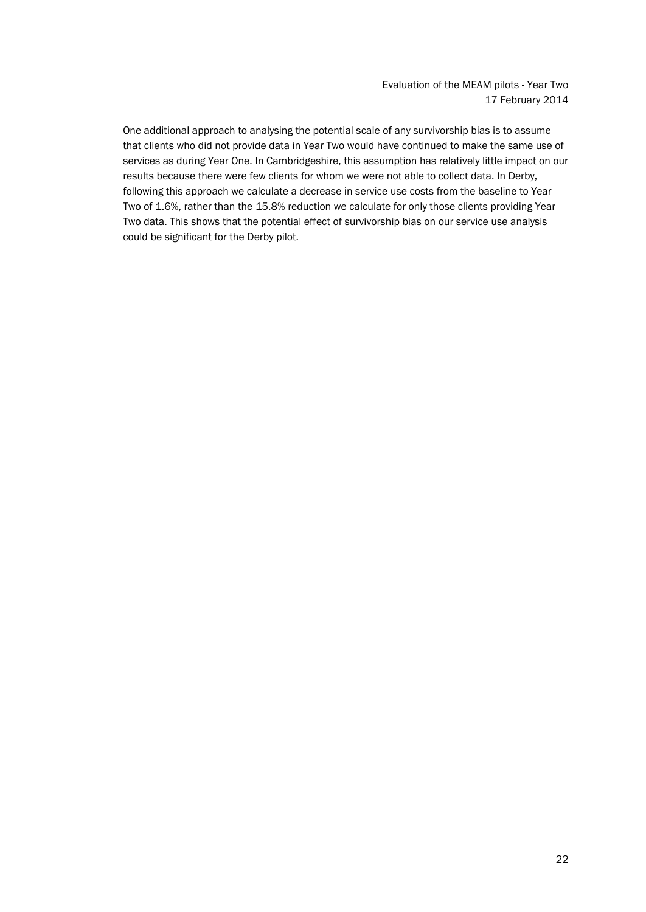One additional approach to analysing the potential scale of any survivorship bias is to assume that clients who did not provide data in Year Two would have continued to make the same use of services as during Year One. In Cambridgeshire, this assumption has relatively little impact on our results because there were few clients for whom we were not able to collect data. In Derby, following this approach we calculate a decrease in service use costs from the baseline to Year Two of 1.6%, rather than the 15.8% reduction we calculate for only those clients providing Year Two data. This shows that the potential effect of survivorship bias on our service use analysis could be significant for the Derby pilot.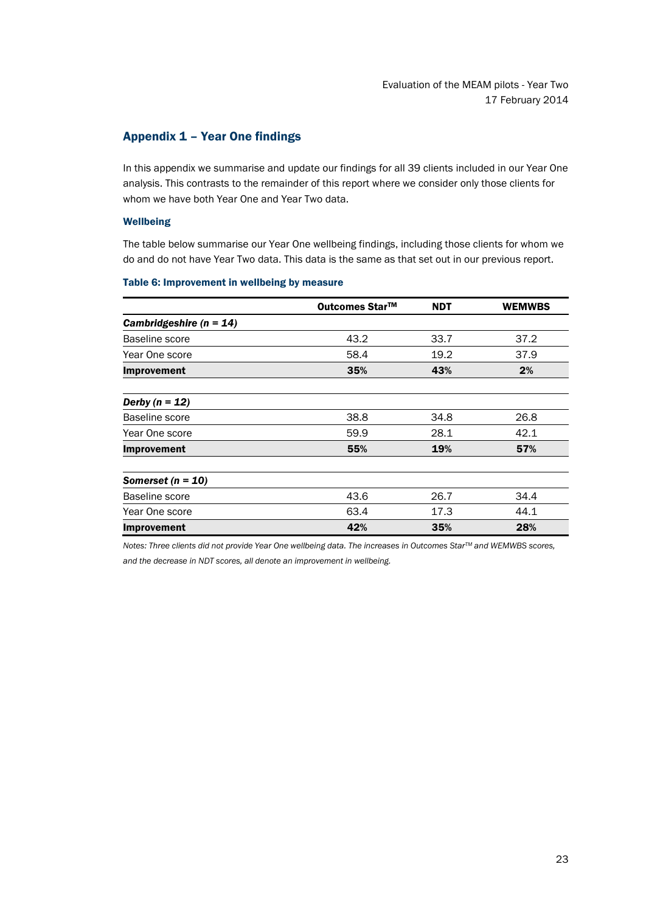# <span id="page-25-0"></span>Appendix 1 – Year One findings

In this appendix we summarise and update our findings for all 39 clients included in our Year One analysis. This contrasts to the remainder of this report where we consider only those clients for whom we have both Year One and Year Two data.

## Wellbeing

The table below summarise our Year One wellbeing findings, including those clients for whom we do and do not have Year Two data. This data is the same as that set out in our previous report.

### Table 6: Improvement in wellbeing by measure

|                             | Outcomes Star™ | <b>NDT</b> | <b>WEMWBS</b> |
|-----------------------------|----------------|------------|---------------|
| Cambridgeshire ( $n = 14$ ) |                |            |               |
| Baseline score              | 43.2           | 33.7       | 37.2          |
| Year One score              | 58.4           | 19.2       | 37.9          |
| Improvement                 | 35%            | 43%        | 2%            |
| Derby $(n = 12)$            |                |            |               |
| Baseline score              | 38.8           | 34.8       | 26.8          |
| Year One score              | 59.9           | 28.1       | 42.1          |
| Improvement                 | 55%            | 19%        | 57%           |
| Somerset ( $n = 10$ )       |                |            |               |
| Baseline score              | 43.6           | 26.7       | 34.4          |
| Year One score              | 63.4           | 17.3       | 44.1          |
| <b>Improvement</b>          | 42%            | 35%        | 28%           |

*Notes: Three clients did not provide Year One wellbeing data. The increases in Outcomes StarTM and WEMWBS scores, and the decrease in NDT scores, all denote an improvement in wellbeing.*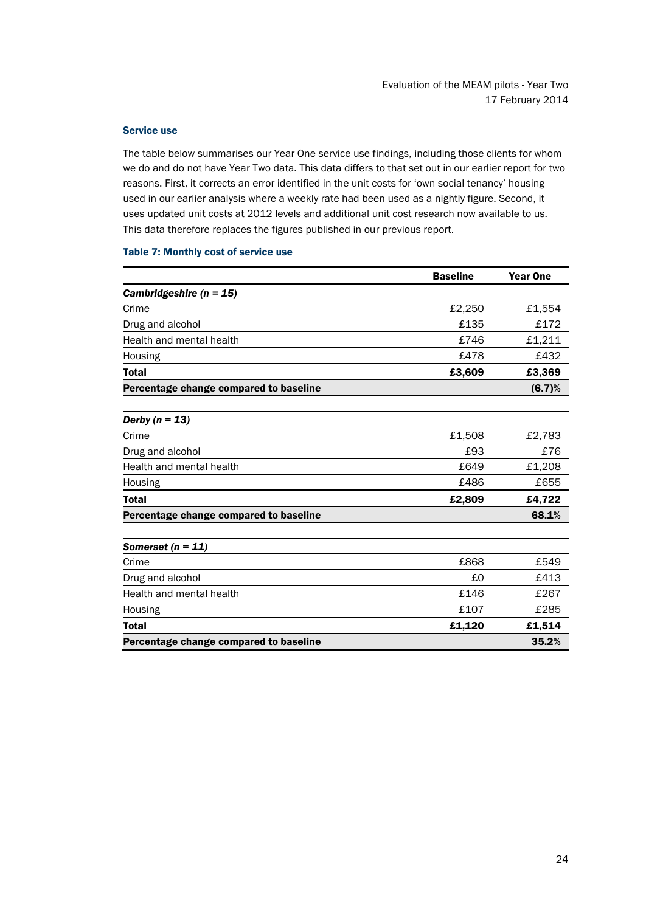### Service use

The table below summarises our Year One service use findings, including those clients for whom we do and do not have Year Two data. This data differs to that set out in our earlier report for two reasons. First, it corrects an error identified in the unit costs for 'own social tenancy' housing used in our earlier analysis where a weekly rate had been used as a nightly figure. Second, it uses updated unit costs at 2012 levels and additional unit cost research now available to us. This data therefore replaces the figures published in our previous report.

### Table 7: Monthly cost of service use

|                                        | <b>Baseline</b> | <b>Year One</b> |
|----------------------------------------|-----------------|-----------------|
| Cambridgeshire ( $n = 15$ )            |                 |                 |
| Crime                                  | £2,250          | £1,554          |
| Drug and alcohol                       | £135            | £172            |
| Health and mental health               | £746            | £1,211          |
| Housing                                | £478            | £432            |
| <b>Total</b>                           | £3,609          | £3,369          |
| Percentage change compared to baseline |                 | (6.7)%          |
| Derby $(n = 13)$                       |                 |                 |
| Crime                                  | £1,508          | £2,783          |
| Drug and alcohol                       | £93             | £76             |
| Health and mental health               | £649            | £1,208          |
| Housing                                | £486            | £655            |
| <b>Total</b>                           | £2,809          | £4,722          |
| Percentage change compared to baseline |                 | 68.1%           |
| Somerset ( $n = 11$ )                  |                 |                 |
| Crime                                  | £868            | £549            |
| Drug and alcohol                       | £0              | £413            |
| Health and mental health               | £146            | £267            |
| Housing                                | £107            | £285            |
| <b>Total</b>                           | £1,120          | £1,514          |
| Percentage change compared to baseline |                 | 35.2%           |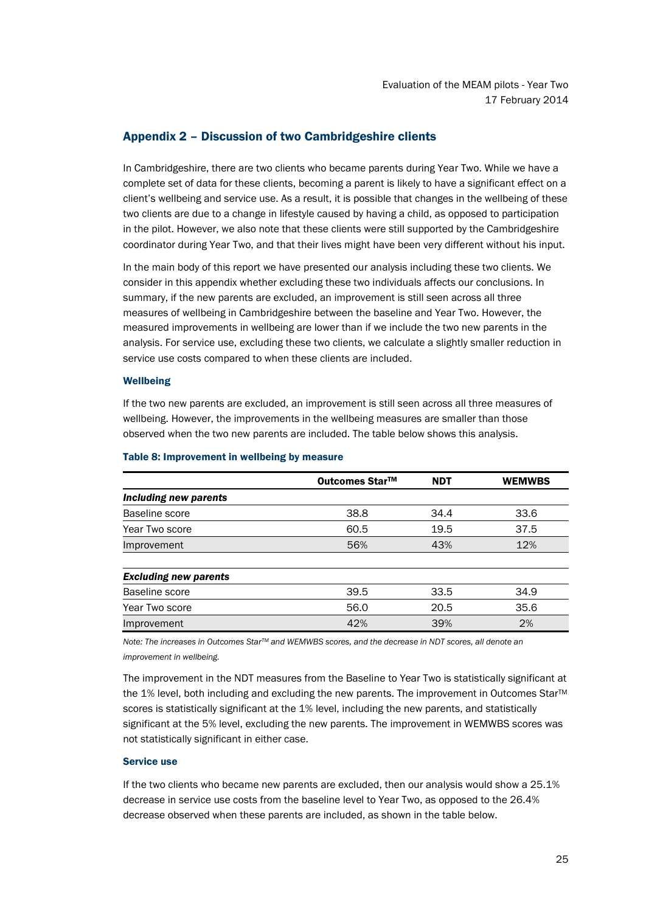# <span id="page-27-0"></span>Appendix 2 – Discussion of two Cambridgeshire clients

In Cambridgeshire, there are two clients who became parents during Year Two. While we have a complete set of data for these clients, becoming a parent is likely to have a significant effect on a client's wellbeing and service use. As a result, it is possible that changes in the wellbeing of these two clients are due to a change in lifestyle caused by having a child, as opposed to participation in the pilot. However, we also note that these clients were still supported by the Cambridgeshire coordinator during Year Two, and that their lives might have been very different without his input.

In the main body of this report we have presented our analysis including these two clients. We consider in this appendix whether excluding these two individuals affects our conclusions. In summary, if the new parents are excluded, an improvement is still seen across all three measures of wellbeing in Cambridgeshire between the baseline and Year Two. However, the measured improvements in wellbeing are lower than if we include the two new parents in the analysis. For service use, excluding these two clients, we calculate a slightly smaller reduction in service use costs compared to when these clients are included.

## **Wellbeing**

If the two new parents are excluded, an improvement is still seen across all three measures of wellbeing. However, the improvements in the wellbeing measures are smaller than those observed when the two new parents are included. The table below shows this analysis.

|                              | Outcomes Star™ | <b>NDT</b> | <b>WEMWBS</b> |
|------------------------------|----------------|------------|---------------|
| Including new parents        |                |            |               |
| Baseline score               | 38.8           | 34.4       | 33.6          |
| Year Two score               | 60.5           | 19.5       | 37.5          |
| Improvement                  | 56%            | 43%        | 12%           |
| <b>Excluding new parents</b> |                |            |               |
| Baseline score               | 39.5           | 33.5       | 34.9          |
| Year Two score               | 56.0           | 20.5       | 35.6          |
| Improvement                  | 42%            | 39%        | 2%            |

## Table 8: Improvement in wellbeing by measure

*Note: The increases in Outcomes StarTM and WEMWBS scores, and the decrease in NDT scores, all denote an improvement in wellbeing.*

The improvement in the NDT measures from the Baseline to Year Two is statistically significant at the 1% level, both including and excluding the new parents. The improvement in Outcomes Star™ scores is statistically significant at the 1% level, including the new parents, and statistically significant at the 5% level, excluding the new parents. The improvement in WEMWBS scores was not statistically significant in either case.

## Service use

If the two clients who became new parents are excluded, then our analysis would show a 25.1% decrease in service use costs from the baseline level to Year Two, as opposed to the 26.4% decrease observed when these parents are included, as shown in the table below.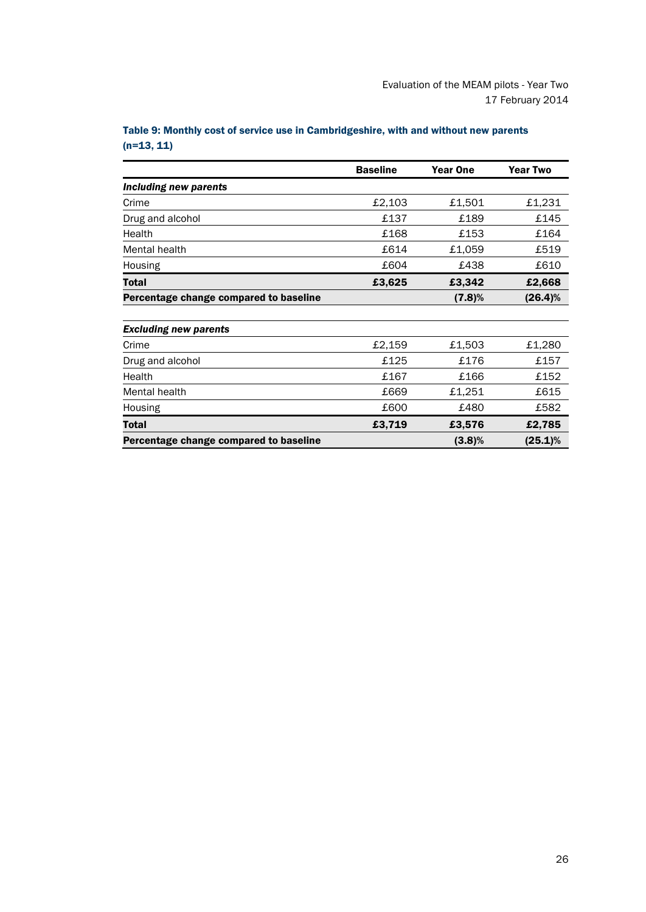|                                        | <b>Baseline</b> | <b>Year One</b> | <b>Year Two</b> |
|----------------------------------------|-----------------|-----------------|-----------------|
| Including new parents                  |                 |                 |                 |
| Crime                                  | £2,103          | £1,501          | £1,231          |
| Drug and alcohol                       | £137            | £189            | £145            |
| Health                                 | £168            | £153            | £164            |
| Mental health                          | £614            | £1,059          | £519            |
| Housing                                | £604            | £438            | £610            |
| Total                                  | £3,625          | £3,342          | £2,668          |
| Percentage change compared to baseline |                 | (7.8)%          | $(26.4)\%$      |
| <b>Excluding new parents</b>           |                 |                 |                 |
| Crime                                  | £2,159          | £1,503          | £1,280          |
| Drug and alcohol                       | £125            | £176            | £157            |
| Health                                 | £167            | £166            | £152            |
| Mental health                          | £669            | £1,251          | £615            |
| Housing                                | £600            | £480            | £582            |
| Total                                  | £3,719          | £3,576          | £2,785          |
| Percentage change compared to baseline |                 | $(3.8)\%$       | $(25.1)\%$      |

Table 9: Monthly cost of service use in Cambridgeshire, with and without new parents  $(n=13, 11)$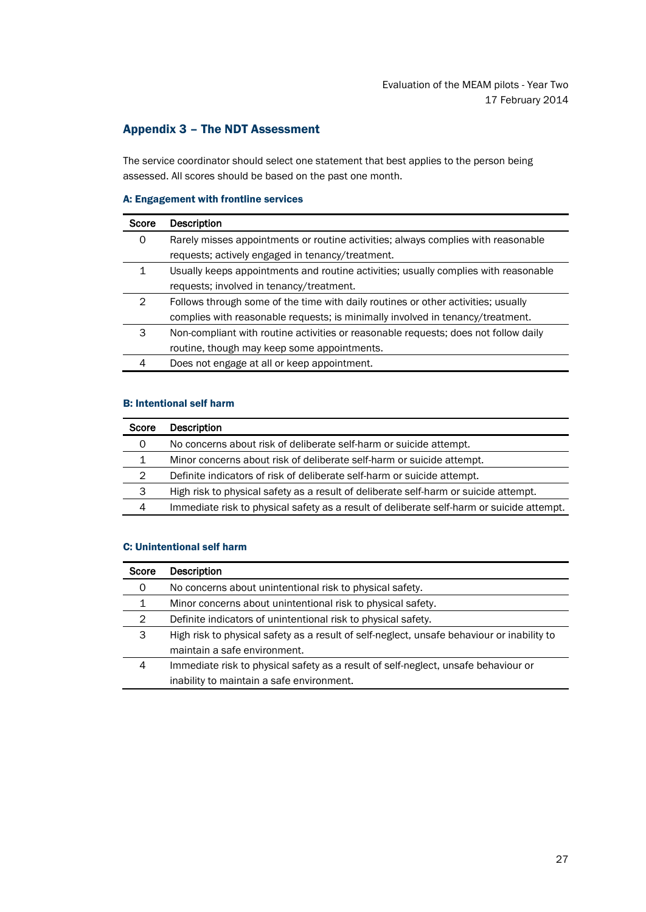# <span id="page-29-0"></span>Appendix 3 – The NDT Assessment

The service coordinator should select one statement that best applies to the person being assessed. All scores should be based on the past one month.

## A: Engagement with frontline services

| Score | <b>Description</b>                                                                  |
|-------|-------------------------------------------------------------------------------------|
| 0     | Rarely misses appointments or routine activities; always complies with reasonable   |
|       | requests; actively engaged in tenancy/treatment.                                    |
|       | Usually keeps appointments and routine activities; usually complies with reasonable |
|       | requests; involved in tenancy/treatment.                                            |
| 2     | Follows through some of the time with daily routines or other activities; usually   |
|       | complies with reasonable requests; is minimally involved in tenancy/treatment.      |
| 3     | Non-compliant with routine activities or reasonable requests; does not follow daily |
|       | routine, though may keep some appointments.                                         |
|       | Does not engage at all or keep appointment.                                         |

# B: Intentional self harm

| Score | <b>Description</b>                                                                        |
|-------|-------------------------------------------------------------------------------------------|
| 0     | No concerns about risk of deliberate self-harm or suicide attempt.                        |
| 1     | Minor concerns about risk of deliberate self-harm or suicide attempt.                     |
| 2     | Definite indicators of risk of deliberate self-harm or suicide attempt.                   |
| 3     | High risk to physical safety as a result of deliberate self-harm or suicide attempt.      |
| 4     | Immediate risk to physical safety as a result of deliberate self-harm or suicide attempt. |

# C: Unintentional self harm

| Score | Description                                                                                |
|-------|--------------------------------------------------------------------------------------------|
| 0     | No concerns about unintentional risk to physical safety.                                   |
| 1     | Minor concerns about unintentional risk to physical safety.                                |
| 2     | Definite indicators of unintentional risk to physical safety.                              |
| 3     | High risk to physical safety as a result of self-neglect, unsafe behaviour or inability to |
|       | maintain a safe environment.                                                               |
| 4     | Immediate risk to physical safety as a result of self-neglect, unsafe behaviour or         |
|       | inability to maintain a safe environment.                                                  |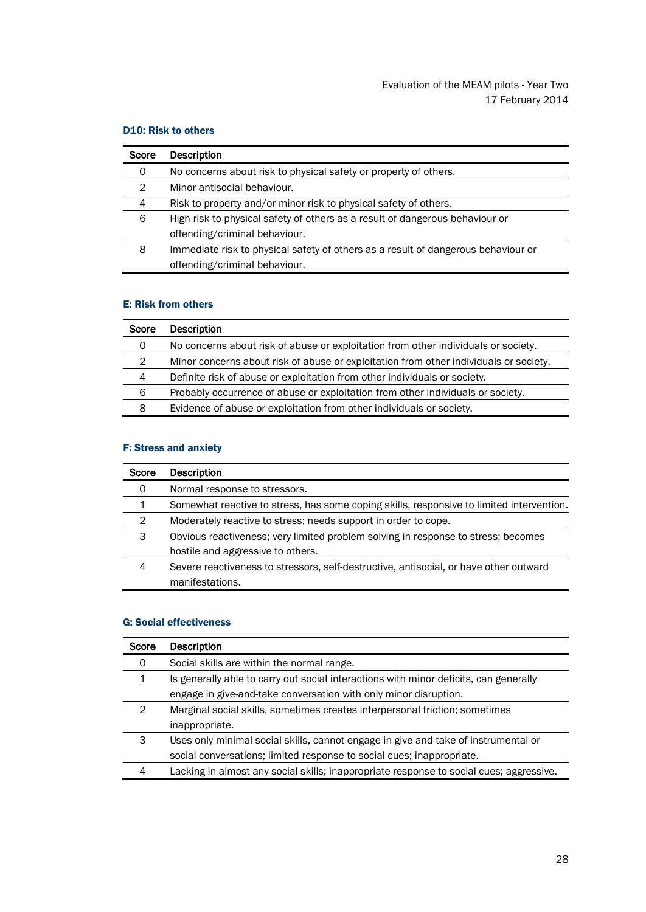# D10: Risk to others

| Score | <b>Description</b>                                                                |
|-------|-----------------------------------------------------------------------------------|
| 0     | No concerns about risk to physical safety or property of others.                  |
| 2     | Minor antisocial behaviour.                                                       |
| 4     | Risk to property and/or minor risk to physical safety of others.                  |
| 6     | High risk to physical safety of others as a result of dangerous behaviour or      |
|       | offending/criminal behaviour.                                                     |
| 8     | Immediate risk to physical safety of others as a result of dangerous behaviour or |
|       | offending/criminal behaviour.                                                     |

# E: Risk from others

| Score          | <b>Description</b>                                                                    |
|----------------|---------------------------------------------------------------------------------------|
| 0              | No concerns about risk of abuse or exploitation from other individuals or society.    |
| $\overline{2}$ | Minor concerns about risk of abuse or exploitation from other individuals or society. |
| 4              | Definite risk of abuse or exploitation from other individuals or society.             |
| 6              | Probably occurrence of abuse or exploitation from other individuals or society.       |
| 8              | Evidence of abuse or exploitation from other individuals or society.                  |

# F: Stress and anxiety

| Score | <b>Description</b>                                                                       |
|-------|------------------------------------------------------------------------------------------|
| 0     | Normal response to stressors.                                                            |
| 1     | Somewhat reactive to stress, has some coping skills, responsive to limited intervention. |
| 2     | Moderately reactive to stress; needs support in order to cope.                           |
| 3     | Obvious reactiveness; very limited problem solving in response to stress; becomes        |
|       | hostile and aggressive to others.                                                        |
| 4     | Severe reactiveness to stressors, self-destructive, antisocial, or have other outward    |
|       | manifestations.                                                                          |

## G: Social effectiveness

| <b>Score</b> | Description                                                                             |
|--------------|-----------------------------------------------------------------------------------------|
| 0            | Social skills are within the normal range.                                              |
| 1            | Is generally able to carry out social interactions with minor deficits, can generally   |
|              | engage in give-and-take conversation with only minor disruption.                        |
| 2            | Marginal social skills, sometimes creates interpersonal friction; sometimes             |
|              | inappropriate.                                                                          |
| 3            | Uses only minimal social skills, cannot engage in give-and-take of instrumental or      |
|              | social conversations; limited response to social cues; inappropriate.                   |
|              | Lacking in almost any social skills; inappropriate response to social cues; aggressive. |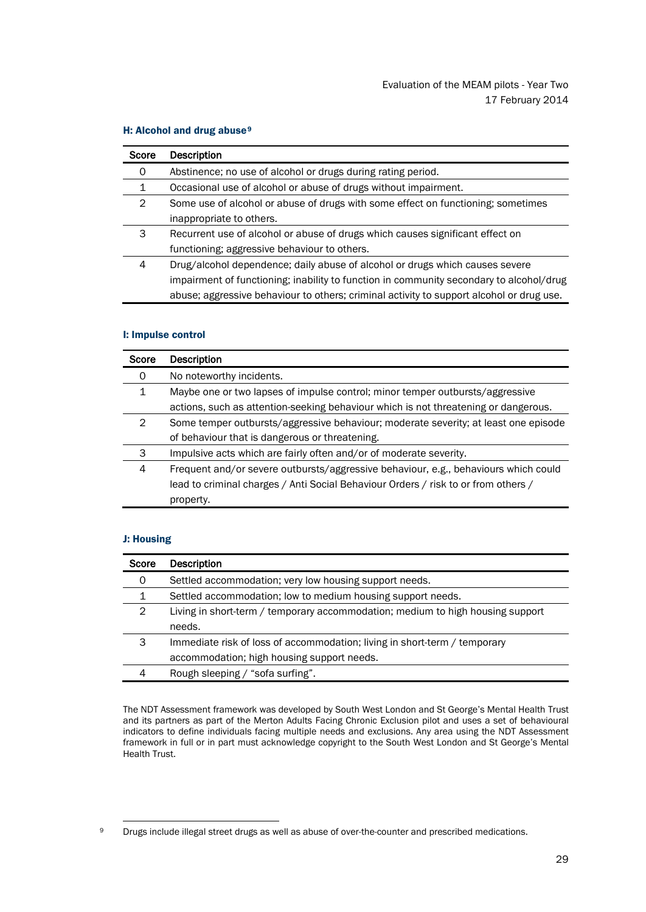## H: Alcohol and drug abuse<sup>[9](#page-31-0)</sup>

| Score | <b>Description</b>                                                                       |
|-------|------------------------------------------------------------------------------------------|
| 0     | Abstinence; no use of alcohol or drugs during rating period.                             |
|       | Occasional use of alcohol or abuse of drugs without impairment.                          |
| 2     | Some use of alcohol or abuse of drugs with some effect on functioning; sometimes         |
|       | inappropriate to others.                                                                 |
| 3     | Recurrent use of alcohol or abuse of drugs which causes significant effect on            |
|       | functioning; aggressive behaviour to others.                                             |
| 4     | Drug/alcohol dependence; daily abuse of alcohol or drugs which causes severe             |
|       | impairment of functioning; inability to function in community secondary to alcohol/drug  |
|       | abuse; aggressive behaviour to others; criminal activity to support alcohol or drug use. |

### I: Impulse control

| Score        | Description                                                                         |
|--------------|-------------------------------------------------------------------------------------|
| 0            | No noteworthy incidents.                                                            |
| $\mathbf{1}$ | Maybe one or two lapses of impulse control; minor temper outbursts/aggressive       |
|              | actions, such as attention-seeking behaviour which is not threatening or dangerous. |
| 2            | Some temper outbursts/aggressive behaviour; moderate severity; at least one episode |
|              | of behaviour that is dangerous or threatening.                                      |
| 3            | Impulsive acts which are fairly often and/or of moderate severity.                  |
| 4            | Frequent and/or severe outbursts/aggressive behaviour, e.g., behaviours which could |
|              | lead to criminal charges / Anti Social Behaviour Orders / risk to or from others /  |
|              | property.                                                                           |

## J: Housing

| Score | <b>Description</b>                                                             |
|-------|--------------------------------------------------------------------------------|
| 0     | Settled accommodation; very low housing support needs.                         |
| 1     | Settled accommodation; low to medium housing support needs.                    |
| 2     | Living in short-term / temporary accommodation; medium to high housing support |
|       | needs.                                                                         |
| 3     | Immediate risk of loss of accommodation; living in short-term / temporary      |
|       | accommodation; high housing support needs.                                     |
|       | Rough sleeping / "sofa surfing".                                               |

The NDT Assessment framework was developed by South West London and St George's Mental Health Trust and its partners as part of the Merton Adults Facing Chronic Exclusion pilot and uses a set of behavioural indicators to define individuals facing multiple needs and exclusions. Any area using the NDT Assessment framework in full or in part must acknowledge copyright to the South West London and St George's Mental Health Trust.

<span id="page-31-0"></span><sup>9</sup> Drugs include illegal street drugs as well as abuse of over-the-counter and prescribed medications.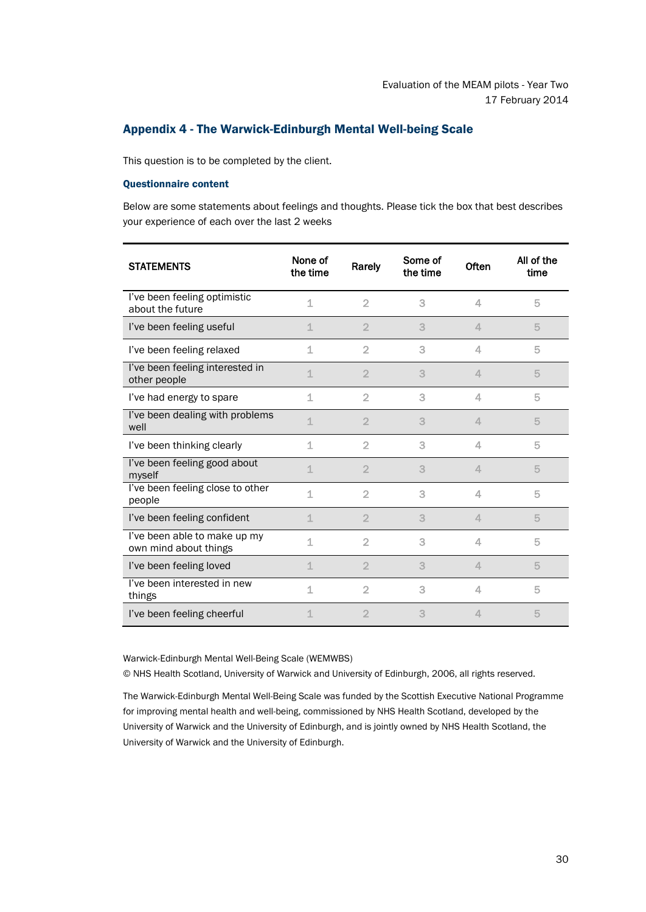# <span id="page-32-0"></span>Appendix 4 - The Warwick-Edinburgh Mental Well-being Scale

This question is to be completed by the client.

## Questionnaire content

Below are some statements about feelings and thoughts. Please tick the box that best describes your experience of each over the last 2 weeks

| <b>STATEMENTS</b>                                     | None of<br>the time | Rarely         | Some of<br>the time | Often    | All of the<br>time |
|-------------------------------------------------------|---------------------|----------------|---------------------|----------|--------------------|
| I've been feeling optimistic<br>about the future      | 1                   | $\overline{2}$ | 3                   | 4        | 5                  |
| I've been feeling useful                              | 1                   | $\overline{2}$ | 3                   | 4.       | 5                  |
| I've been feeling relaxed                             | 1                   | $\overline{2}$ | 3                   | 4        | 5                  |
| I've been feeling interested in<br>other people       | 1                   | $\overline{2}$ | 3                   | 4        | 5                  |
| I've had energy to spare                              | 1                   | $\overline{2}$ | 3                   | 4        | 5                  |
| I've been dealing with problems<br>well               | $\mathbf 1$         | $\overline{2}$ | 3                   | $\Delta$ | 5                  |
| I've been thinking clearly                            | 1                   | $\overline{2}$ | 3                   | 4        | 5                  |
| I've been feeling good about<br>myself                | 1                   | $\overline{2}$ | 3                   | 4        | 5                  |
| I've been feeling close to other<br>people            | 1                   | $\overline{2}$ | 3                   | 4        | 5                  |
| I've been feeling confident                           | 1                   | $\overline{2}$ | 3                   | 4.       | 5                  |
| I've been able to make up my<br>own mind about things | 1                   | $\overline{2}$ | 3                   | 4        | 5                  |
| I've been feeling loved                               | 1                   | $\overline{2}$ | 3                   | 4        | 5                  |
| I've been interested in new<br>things                 | 1                   | $\overline{2}$ | 3                   | 4        | 5                  |
| I've been feeling cheerful                            | 1                   | $\overline{2}$ | 3                   | $\Delta$ | 5                  |

Warwick-Edinburgh Mental Well-Being Scale (WEMWBS)

© NHS Health Scotland, University of Warwick and University of Edinburgh, 2006, all rights reserved.

The Warwick-Edinburgh Mental Well-Being Scale was funded by the Scottish Executive National Programme for improving mental health and well-being, commissioned by NHS Health Scotland, developed by the University of Warwick and the University of Edinburgh, and is jointly owned by NHS Health Scotland, the University of Warwick and the University of Edinburgh.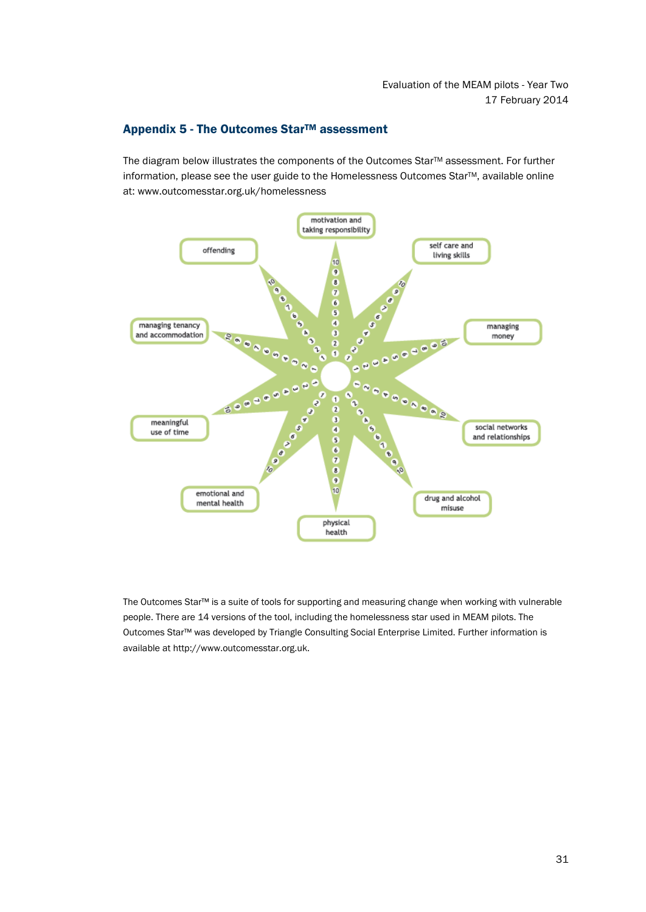# <span id="page-33-0"></span>Appendix 5 - The Outcomes Star™ assessment

The diagram below illustrates the components of the Outcomes Star™ assessment. For further information, please see the user guide to the Homelessness Outcomes Star™, available online at: www.outcomesstar.org.uk/homelessness



The Outcomes Star™ is a suite of tools for supporting and measuring change when working with vulnerable people. There are 14 versions of the tool, including the homelessness star used in MEAM pilots. The Outcomes Star™ was developed by Triangle Consulting Social Enterprise Limited. Further information is available at http://www.outcomesstar.org.uk.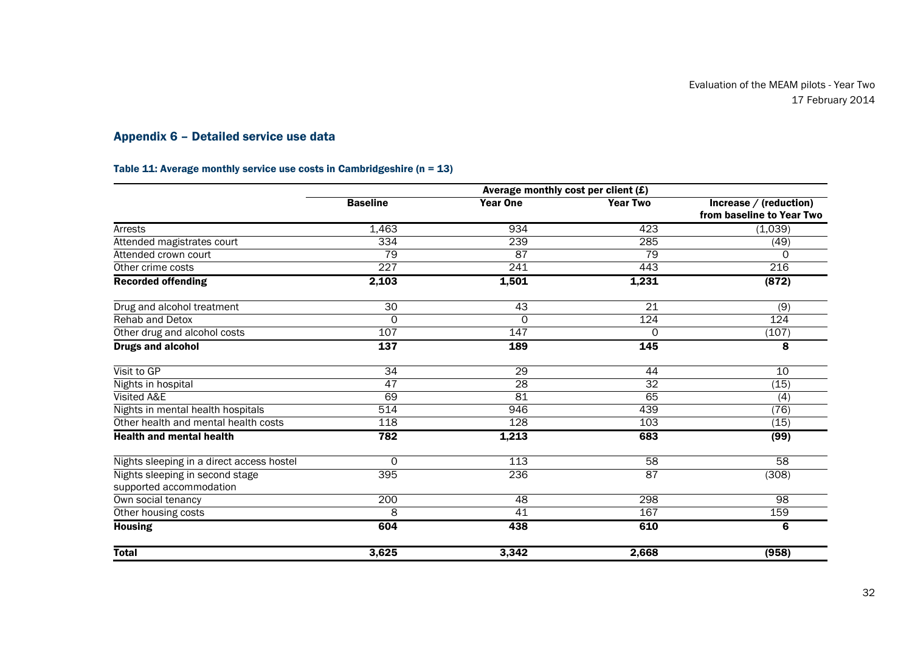# Appendix 6 – Detailed service use data

# Table 11: Average monthly service use costs in Cambridgeshire ( $n = 13$ )

<span id="page-34-0"></span>

|                                           |                  | Average monthly cost per client $(E)$ |                 |                           |
|-------------------------------------------|------------------|---------------------------------------|-----------------|---------------------------|
|                                           | <b>Baseline</b>  | <b>Year One</b>                       | <b>Year Two</b> | Increase / (reduction)    |
|                                           |                  |                                       |                 | from baseline to Year Two |
| Arrests                                   | 1,463            | 934                                   | 423             | (1,039)                   |
| Attended magistrates court                | 334              | 239                                   | 285             | (49)                      |
| Attended crown court                      | 79               | 87                                    | 79              | 0                         |
| Other crime costs                         | 227              | 241                                   | 443             | 216                       |
| <b>Recorded offending</b>                 | 2,103            | 1,501                                 | 1,231           | (872)                     |
| Drug and alcohol treatment                | 30               | 43                                    | $\overline{21}$ | (9)                       |
| <b>Rehab and Detox</b>                    | $\Omega$         | 0                                     | 124             | 124                       |
| Other drug and alcohol costs              | 107              | 147                                   | 0               | (107)                     |
| <b>Drugs and alcohol</b>                  | $\overline{137}$ | 189                                   | 145             | 8                         |
| Visit to GP                               | $\overline{34}$  | 29                                    | 44              | 10                        |
| Nights in hospital                        | 47               | $\overline{28}$                       | $\overline{32}$ | (15)                      |
| Visited A&E                               | 69               | 81                                    | 65              | (4)                       |
| Nights in mental health hospitals         | 514              | 946                                   | 439             | (76)                      |
| Other health and mental health costs      | 118              | $\overline{128}$                      | 103             | (15)                      |
| <b>Health and mental health</b>           | 782              | 1,213                                 | 683             | (99)                      |
| Nights sleeping in a direct access hostel | $\Omega$         | 113                                   | 58              | 58                        |
| Nights sleeping in second stage           | 395              | 236                                   | 87              | (308)                     |
| supported accommodation                   |                  |                                       |                 |                           |
| Own social tenancy                        | 200              | $\overline{48}$                       | 298             | $\overline{98}$           |
| Other housing costs                       | 8                | 41                                    | 167             | 159                       |
| <b>Housing</b>                            | 604              | 438                                   | 610             | 6                         |
| <b>Total</b>                              | 3,625            | 3,342                                 | 2,668           | (958)                     |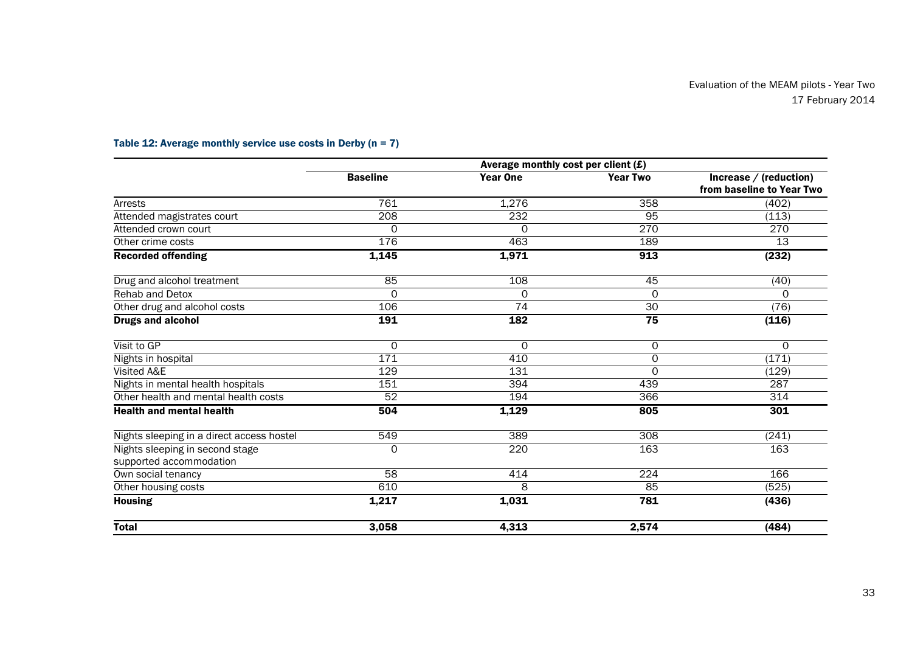|                                                            |                  | Average monthly cost per client $(E)$ |                     |                                                     |
|------------------------------------------------------------|------------------|---------------------------------------|---------------------|-----------------------------------------------------|
|                                                            | <b>Baseline</b>  | <b>Year One</b>                       | <b>Year Two</b>     | Increase / (reduction)<br>from baseline to Year Two |
| Arrests                                                    | 761              | 1,276                                 | 358                 | (402)                                               |
| Attended magistrates court                                 | $\overline{208}$ | 232                                   | 95                  | (113)                                               |
| Attended crown court                                       | $\Omega$         | $\Omega$                              | 270                 | $\overline{270}$                                    |
| Other crime costs                                          | 176              | 463                                   | 189                 | 13                                                  |
| <b>Recorded offending</b>                                  | 1,145            | 1,971                                 | 913                 | (232)                                               |
| Drug and alcohol treatment                                 | 85               | 108                                   | 45                  | (40)                                                |
| <b>Rehab and Detox</b>                                     | $\Omega$         | $\Omega$                              | 0                   | $\Omega$                                            |
| Other drug and alcohol costs                               | 106              | 74                                    | 30                  | (76)                                                |
| <b>Drugs and alcohol</b>                                   | 191              | 182                                   | 75                  | (116)                                               |
| Visit to GP                                                | 0                | $\Omega$                              | 0                   | 0                                                   |
| Nights in hospital                                         | 171              | 410                                   | $\mathsf{O}\xspace$ | (171)                                               |
| Visited A&E                                                | 129              | 131                                   | $\Omega$            | (129)                                               |
| Nights in mental health hospitals                          | 151              | 394                                   | 439                 | 287                                                 |
| Other health and mental health costs                       | 52               | 194                                   | 366                 | 314                                                 |
| <b>Health and mental health</b>                            | 504              | 1,129                                 | 805                 | 301                                                 |
| Nights sleeping in a direct access hostel                  | 549              | 389                                   | $\overline{308}$    | (241)                                               |
| Nights sleeping in second stage<br>supported accommodation | $\Omega$         | 220                                   | 163                 | 163                                                 |
| Own social tenancy                                         | 58               | 414                                   | $\overline{224}$    | 166                                                 |
| Other housing costs                                        | 610              | 8                                     | 85                  | (525)                                               |
| <b>Housing</b>                                             | 1,217            | 1,031                                 | 781                 | (436)                                               |
| <b>Total</b>                                               | 3,058            | 4,313                                 | 2,574               | (484)                                               |

# Table 12: Average monthly service use costs in Derby  $(n = 7)$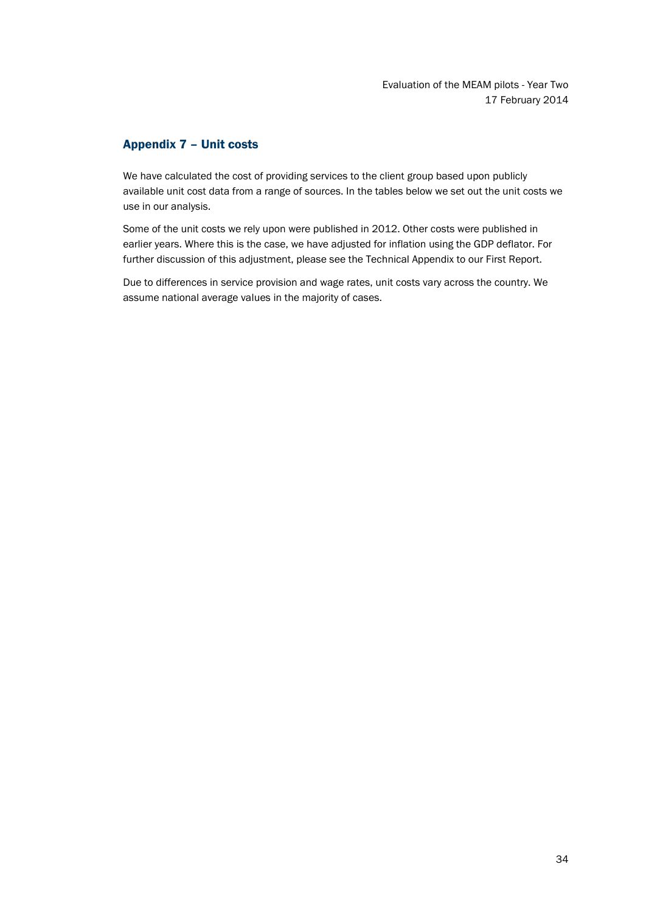# <span id="page-36-0"></span>Appendix 7 – Unit costs

We have calculated the cost of providing services to the client group based upon publicly available unit cost data from a range of sources. In the tables below we set out the unit costs we use in our analysis.

Some of the unit costs we rely upon were published in 2012. Other costs were published in earlier years. Where this is the case, we have adjusted for inflation using the GDP deflator. For further discussion of this adjustment, please see the Technical Appendix to our First Report.

Due to differences in service provision and wage rates, unit costs vary across the country. We assume national average values in the majority of cases.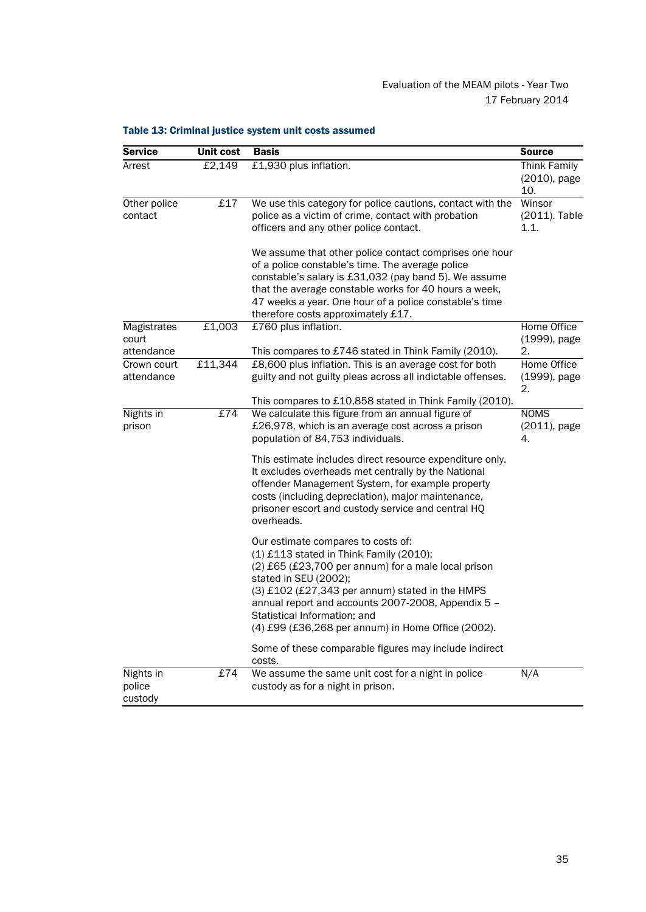| <b>Service</b>                          | <b>Unit cost</b> | <b>Basis</b>                                                                                                                                                                                                                                                                                                                                                   | <b>Source</b>                           |
|-----------------------------------------|------------------|----------------------------------------------------------------------------------------------------------------------------------------------------------------------------------------------------------------------------------------------------------------------------------------------------------------------------------------------------------------|-----------------------------------------|
| Arrest                                  | £2,149           | £1,930 plus inflation.                                                                                                                                                                                                                                                                                                                                         | Think Family<br>(2010), page<br>10.     |
| Other police<br>contact                 | £17              | We use this category for police cautions, contact with the<br>police as a victim of crime, contact with probation<br>officers and any other police contact.                                                                                                                                                                                                    | Winsor<br>(2011). Table<br>1.1.         |
|                                         |                  | We assume that other police contact comprises one hour<br>of a police constable's time. The average police<br>constable's salary is £31,032 (pay band 5). We assume<br>that the average constable works for 40 hours a week,<br>47 weeks a year. One hour of a police constable's time<br>therefore costs approximately £17.                                   |                                         |
| Magistrates<br>court                    | £1,003           | £760 plus inflation.                                                                                                                                                                                                                                                                                                                                           | Home Office<br>(1999), page             |
| attendance<br>Crown court<br>attendance | £11,344          | This compares to £746 stated in Think Family (2010).<br>£8,600 plus inflation. This is an average cost for both<br>guilty and not guilty pleas across all indictable offenses.<br>This compares to £10,858 stated in Think Family (2010).                                                                                                                      | 2.<br>Home Office<br>(1999), page<br>2. |
| Nights in<br>prison                     | £74              | We calculate this figure from an annual figure of<br>£26,978, which is an average cost across a prison<br>population of 84,753 individuals.                                                                                                                                                                                                                    | <b>NOMS</b><br>(2011), page<br>4.       |
|                                         |                  | This estimate includes direct resource expenditure only.<br>It excludes overheads met centrally by the National<br>offender Management System, for example property<br>costs (including depreciation), major maintenance,<br>prisoner escort and custody service and central HQ<br>overheads.                                                                  |                                         |
|                                         |                  | Our estimate compares to costs of:<br>$(1)$ £113 stated in Think Family (2010);<br>(2) £65 (£23,700 per annum) for a male local prison<br>stated in SEU (2002);<br>(3) £102 (£27,343 per annum) stated in the HMPS<br>annual report and accounts 2007-2008, Appendix 5 -<br>Statistical Information; and<br>(4) £99 (£36,268 per annum) in Home Office (2002). |                                         |
|                                         |                  | Some of these comparable figures may include indirect<br>costs.                                                                                                                                                                                                                                                                                                |                                         |
| Nights in<br>police<br>custody          | £74              | We assume the same unit cost for a night in police<br>custody as for a night in prison.                                                                                                                                                                                                                                                                        | N/A                                     |

# Table 13: Criminal justice system unit costs assumed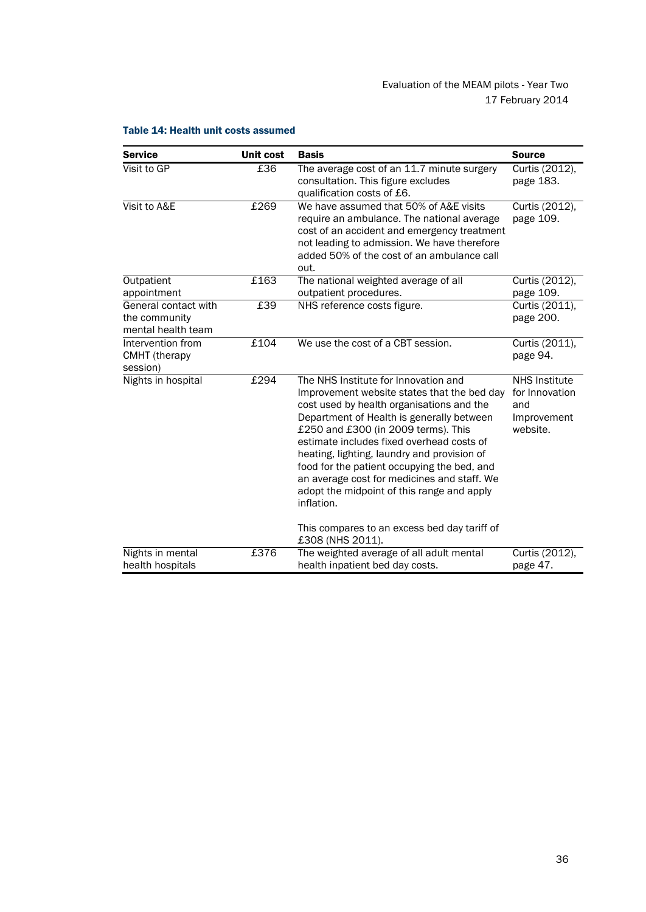| <b>Service</b>                                              | Unit cost | <b>Basis</b>                                                                                                                                                                                                                                                                                                                                                                                                                                                               | <b>Source</b>                                                            |
|-------------------------------------------------------------|-----------|----------------------------------------------------------------------------------------------------------------------------------------------------------------------------------------------------------------------------------------------------------------------------------------------------------------------------------------------------------------------------------------------------------------------------------------------------------------------------|--------------------------------------------------------------------------|
| Visit to GP                                                 | £36       | The average cost of an 11.7 minute surgery<br>consultation. This figure excludes<br>qualification costs of £6.                                                                                                                                                                                                                                                                                                                                                             | Curtis (2012),<br>page 183.                                              |
| Visit to A&E                                                | £269      | We have assumed that 50% of A&E visits<br>require an ambulance. The national average<br>cost of an accident and emergency treatment<br>not leading to admission. We have therefore<br>added 50% of the cost of an ambulance call<br>out.                                                                                                                                                                                                                                   | Curtis (2012),<br>page 109.                                              |
| Outpatient                                                  | £163      | The national weighted average of all                                                                                                                                                                                                                                                                                                                                                                                                                                       | Curtis (2012),                                                           |
| appointment                                                 |           | outpatient procedures.                                                                                                                                                                                                                                                                                                                                                                                                                                                     | page 109.                                                                |
| General contact with<br>the community<br>mental health team | £39       | NHS reference costs figure.                                                                                                                                                                                                                                                                                                                                                                                                                                                | Curtis (2011),<br>page 200.                                              |
| Intervention from<br><b>CMHT</b> (therapy<br>session)       | £104      | We use the cost of a CBT session.                                                                                                                                                                                                                                                                                                                                                                                                                                          | Curtis (2011),<br>page 94.                                               |
| Nights in hospital                                          | £294      | The NHS Institute for Innovation and<br>Improvement website states that the bed day<br>cost used by health organisations and the<br>Department of Health is generally between<br>£250 and £300 (in 2009 terms). This<br>estimate includes fixed overhead costs of<br>heating, lighting, laundry and provision of<br>food for the patient occupying the bed, and<br>an average cost for medicines and staff. We<br>adopt the midpoint of this range and apply<br>inflation. | <b>NHS Institute</b><br>for Innovation<br>and<br>Improvement<br>website. |
|                                                             |           | This compares to an excess bed day tariff of<br>£308 (NHS 2011).                                                                                                                                                                                                                                                                                                                                                                                                           |                                                                          |
| Nights in mental<br>health hospitals                        | £376      | The weighted average of all adult mental<br>health inpatient bed day costs.                                                                                                                                                                                                                                                                                                                                                                                                | Curtis (2012),<br>page 47.                                               |

# Table 14: Health unit costs assumed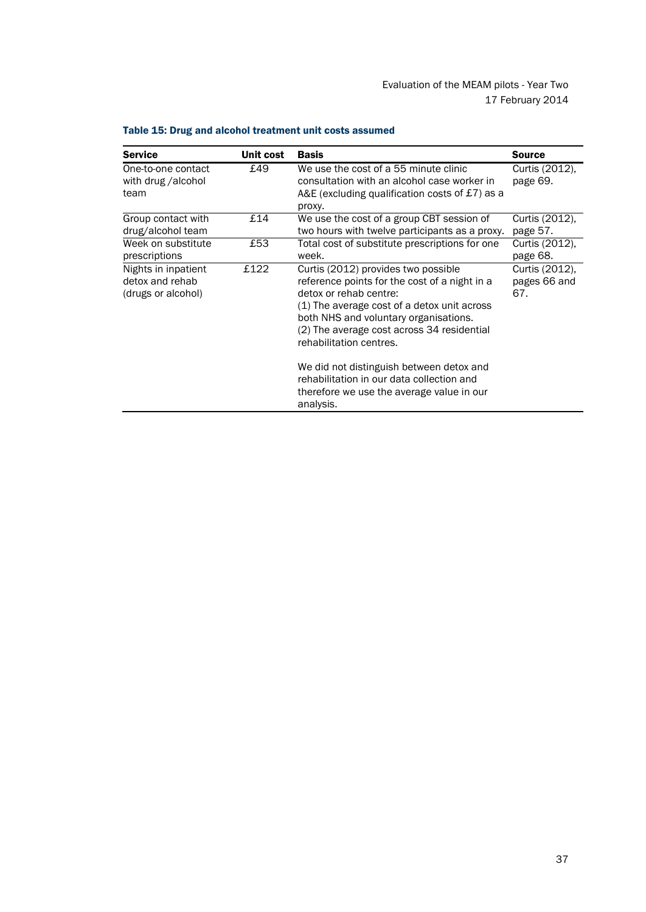| <b>Service</b>                                               | Unit cost | <b>Basis</b>                                                                                                                                                                                                                                                                                                                                                             | <b>Source</b>                         |
|--------------------------------------------------------------|-----------|--------------------------------------------------------------------------------------------------------------------------------------------------------------------------------------------------------------------------------------------------------------------------------------------------------------------------------------------------------------------------|---------------------------------------|
| One-to-one contact<br>with drug /alcohol<br>team             | £49       | We use the cost of a 55 minute clinic<br>consultation with an alcohol case worker in<br>A&E (excluding qualification costs of $£7$ ) as a<br>proxy.                                                                                                                                                                                                                      | Curtis (2012),<br>page 69.            |
| Group contact with<br>drug/alcohol team                      | £14       | We use the cost of a group CBT session of<br>two hours with twelve participants as a proxy.                                                                                                                                                                                                                                                                              | Curtis (2012),<br>page 57.            |
| Week on substitute<br>prescriptions                          | £53       | Total cost of substitute prescriptions for one<br>week.                                                                                                                                                                                                                                                                                                                  | Curtis (2012),<br>page 68.            |
| Nights in inpatient<br>detox and rehab<br>(drugs or alcohol) | £122      | Curtis (2012) provides two possible<br>reference points for the cost of a night in a<br>detox or rehab centre:<br>(1) The average cost of a detox unit across<br>both NHS and voluntary organisations.<br>(2) The average cost across 34 residential<br>rehabilitation centres.<br>We did not distinguish between detox and<br>rehabilitation in our data collection and | Curtis (2012),<br>pages 66 and<br>67. |
|                                                              |           | therefore we use the average value in our<br>analysis.                                                                                                                                                                                                                                                                                                                   |                                       |

# Table 15: Drug and alcohol treatment unit costs assumed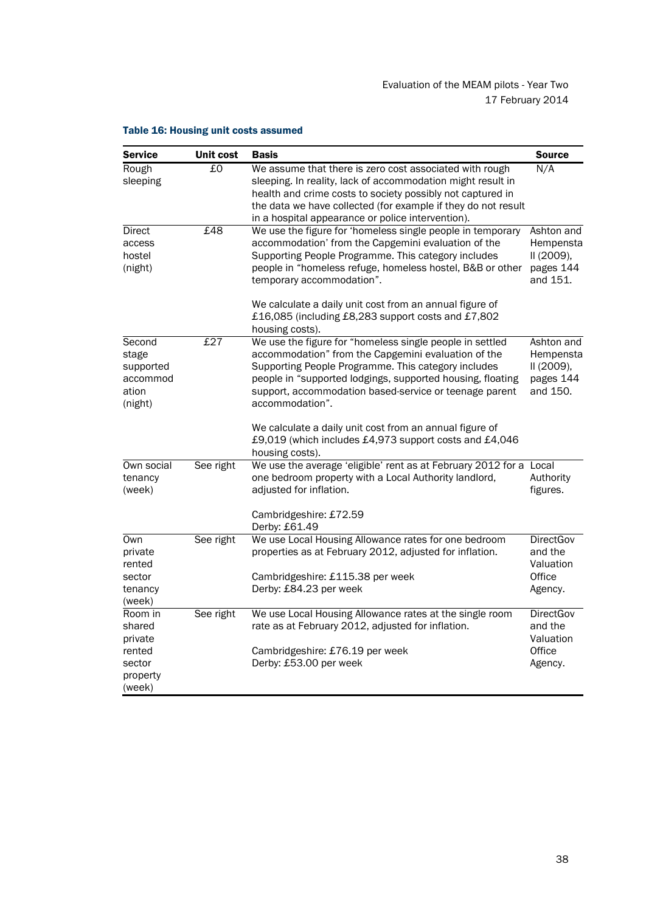| <b>Service</b>                                               | <b>Unit cost</b> | <b>Basis</b>                                                                                                                                                                                                                                                                                                      | <b>Source</b>                                                  |
|--------------------------------------------------------------|------------------|-------------------------------------------------------------------------------------------------------------------------------------------------------------------------------------------------------------------------------------------------------------------------------------------------------------------|----------------------------------------------------------------|
| Rough<br>sleeping                                            | £0               | We assume that there is zero cost associated with rough<br>sleeping. In reality, lack of accommodation might result in<br>health and crime costs to society possibly not captured in<br>the data we have collected (for example if they do not result<br>in a hospital appearance or police intervention).        | N/A                                                            |
| Direct<br>access<br>hostel<br>(night)                        | £48              | We use the figure for 'homeless single people in temporary<br>accommodation' from the Capgemini evaluation of the<br>Supporting People Programme. This category includes<br>people in "homeless refuge, homeless hostel, B&B or other<br>temporary accommodation".                                                | Ashton and<br>Hempensta<br>II (2009),<br>pages 144<br>and 151. |
|                                                              |                  | We calculate a daily unit cost from an annual figure of<br>£16,085 (including £8,283 support costs and £7,802<br>housing costs).                                                                                                                                                                                  |                                                                |
| Second<br>stage<br>supported<br>accommod<br>ation<br>(night) | £27              | We use the figure for "homeless single people in settled<br>accommodation" from the Capgemini evaluation of the<br>Supporting People Programme. This category includes<br>people in "supported lodgings, supported housing, floating<br>support, accommodation based-service or teenage parent<br>accommodation". | Ashton and<br>Hempensta<br>II (2009),<br>pages 144<br>and 150. |
|                                                              |                  | We calculate a daily unit cost from an annual figure of<br>£9,019 (which includes £4,973 support costs and £4,046<br>housing costs).                                                                                                                                                                              |                                                                |
| Own social<br>tenancy<br>(week)                              | See right        | We use the average 'eligible' rent as at February 2012 for a Local<br>one bedroom property with a Local Authority landlord,<br>adjusted for inflation.                                                                                                                                                            | Authority<br>figures.                                          |
|                                                              |                  | Cambridgeshire: £72.59<br>Derby: £61.49                                                                                                                                                                                                                                                                           |                                                                |
| Own<br>private<br>rented                                     | See right        | We use Local Housing Allowance rates for one bedroom<br>properties as at February 2012, adjusted for inflation.                                                                                                                                                                                                   | <b>DirectGov</b><br>and the<br>Valuation                       |
| sector<br>tenancy<br>(week)                                  |                  | Cambridgeshire: £115.38 per week<br>Derby: £84.23 per week                                                                                                                                                                                                                                                        | Office<br>Agency.                                              |
| Room in<br>shared<br>private                                 | See right        | We use Local Housing Allowance rates at the single room<br>rate as at February 2012, adjusted for inflation.                                                                                                                                                                                                      | <b>DirectGov</b><br>and the<br>Valuation                       |
| rented<br>sector<br>property<br>(week)                       |                  | Cambridgeshire: £76.19 per week<br>Derby: £53.00 per week                                                                                                                                                                                                                                                         | Office<br>Agency.                                              |

# Table 16: Housing unit costs assumed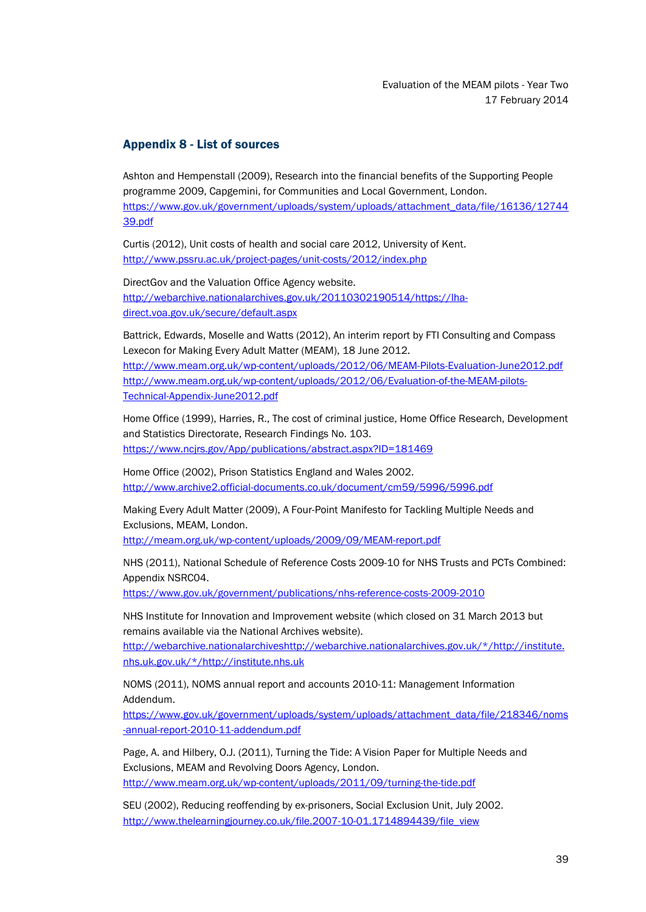# <span id="page-41-0"></span>Appendix 8 - List of sources

Ashton and Hempenstall (2009), Research into the financial benefits of the Supporting People programme 2009, Capgemini, for Communities and Local Government, London. [https://www.gov.uk/government/uploads/system/uploads/attachment\\_data/file/16136/12744](https://www.gov.uk/government/uploads/system/uploads/attachment_data/file/16136/1274439.pdf) [39.pdf](https://www.gov.uk/government/uploads/system/uploads/attachment_data/file/16136/1274439.pdf)

Curtis (2012), Unit costs of health and social care 2012, University of Kent. <http://www.pssru.ac.uk/project-pages/unit-costs/2012/index.php>

DirectGov and the Valuation Office Agency website. [http://webarchive.nationalarchives.gov.uk/20110302190514/https://lha](http://webarchive.nationalarchives.gov.uk/20110302190514/https:/lha-direct.voa.gov.uk/secure/default.aspx)[direct.voa.gov.uk/secure/default.aspx](http://webarchive.nationalarchives.gov.uk/20110302190514/https:/lha-direct.voa.gov.uk/secure/default.aspx)

Battrick, Edwards, Moselle and Watts (2012), An interim report by FTI Consulting and Compass Lexecon for Making Every Adult Matter (MEAM), 18 June 2012. <http://www.meam.org.uk/wp-content/uploads/2012/06/MEAM-Pilots-Evaluation-June2012.pdf> [http://www.meam.org.uk/wp-content/uploads/2012/06/Evaluation-of-the-MEAM-pilots-](http://www.meam.org.uk/wp-content/uploads/2012/06/Evaluation-of-the-MEAM-pilots-Technical-Appendix-June2012.pdf)[Technical-Appendix-June2012.pdf](http://www.meam.org.uk/wp-content/uploads/2012/06/Evaluation-of-the-MEAM-pilots-Technical-Appendix-June2012.pdf)

Home Office (1999), Harries, R., The cost of criminal justice, Home Office Research, Development and Statistics Directorate, Research Findings No. 103. <https://www.ncjrs.gov/App/publications/abstract.aspx?ID=181469>

Home Office (2002), Prison Statistics England and Wales 2002. <http://www.archive2.official-documents.co.uk/document/cm59/5996/5996.pdf>

Making Every Adult Matter (2009), A Four-Point Manifesto for Tackling Multiple Needs and Exclusions, MEAM, London.

<http://meam.org.uk/wp-content/uploads/2009/09/MEAM-report.pdf>

NHS (2011), National Schedule of Reference Costs 2009-10 for NHS Trusts and PCTs Combined: Appendix NSRC04.

<https://www.gov.uk/government/publications/nhs-reference-costs-2009-2010>

NHS Institute for Innovation and Improvement website (which closed on 31 March 2013 but remains available via the National Archives website).

http://webarchive.nationalarchive[shttp://webarchive.nationalarchives.gov.uk/\\*/http://institute.](http://webarchive.nationalarchives.gov.uk/*/http:/institute.nhs.uk) [nhs.uk.](http://webarchive.nationalarchives.gov.uk/*/http:/institute.nhs.uk)gov.uk/\*/http://institute.nhs.uk

NOMS (2011), NOMS annual report and accounts 2010-11: Management Information Addendum.

[https://www.gov.uk/government/uploads/system/uploads/attachment\\_data/file/218346/noms](https://www.gov.uk/government/uploads/system/uploads/attachment_data/file/218346/noms-annual-report-2010-11-addendum.pdf) [-annual-report-2010-11-addendum.pdf](https://www.gov.uk/government/uploads/system/uploads/attachment_data/file/218346/noms-annual-report-2010-11-addendum.pdf)

Page, A. and Hilbery, O.J. (2011), Turning the Tide: A Vision Paper for Multiple Needs and Exclusions, MEAM and Revolving Doors Agency, London. <http://www.meam.org.uk/wp-content/uploads/2011/09/turning-the-tide.pdf>

SEU (2002), Reducing reoffending by ex-prisoners, Social Exclusion Unit, July 2002. [http://www.thelearningjourney.co.uk/file.2007-10-01.1714894439/file\\_view](http://www.thelearningjourney.co.uk/file.2007-10-01.1714894439/file_view)